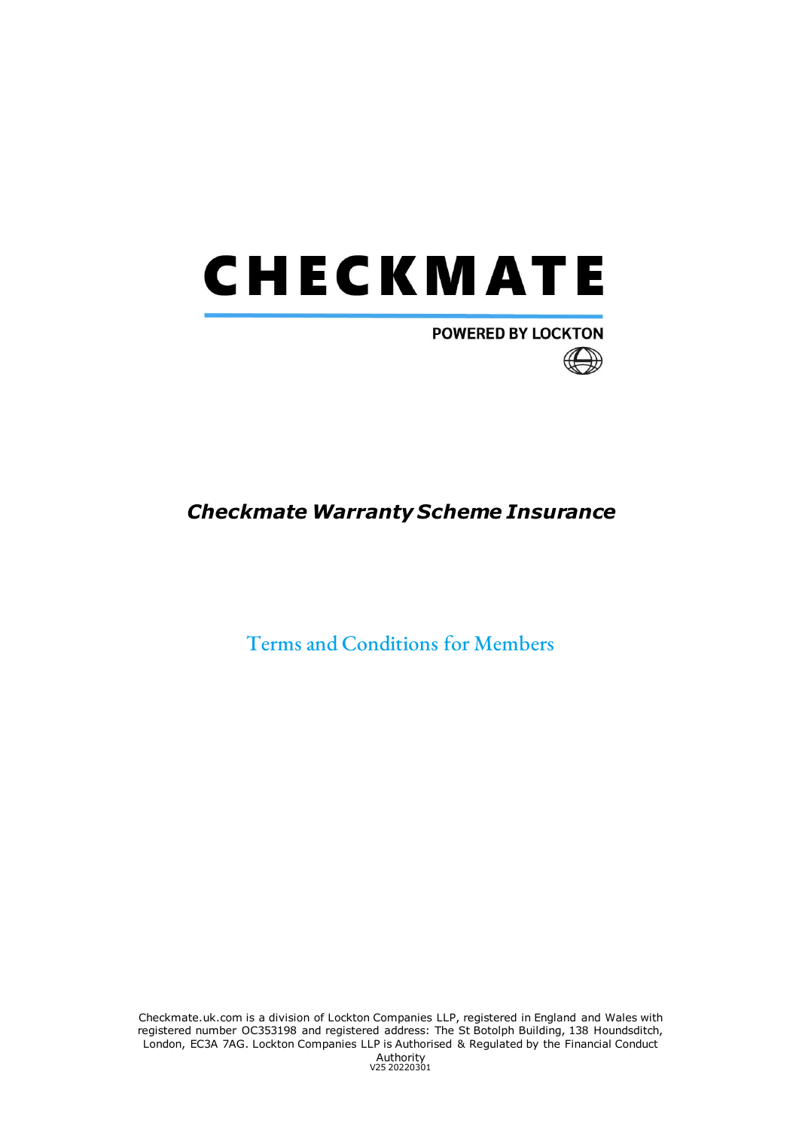

# **POWERED BY LOCKTON**



Terms and Conditions for Members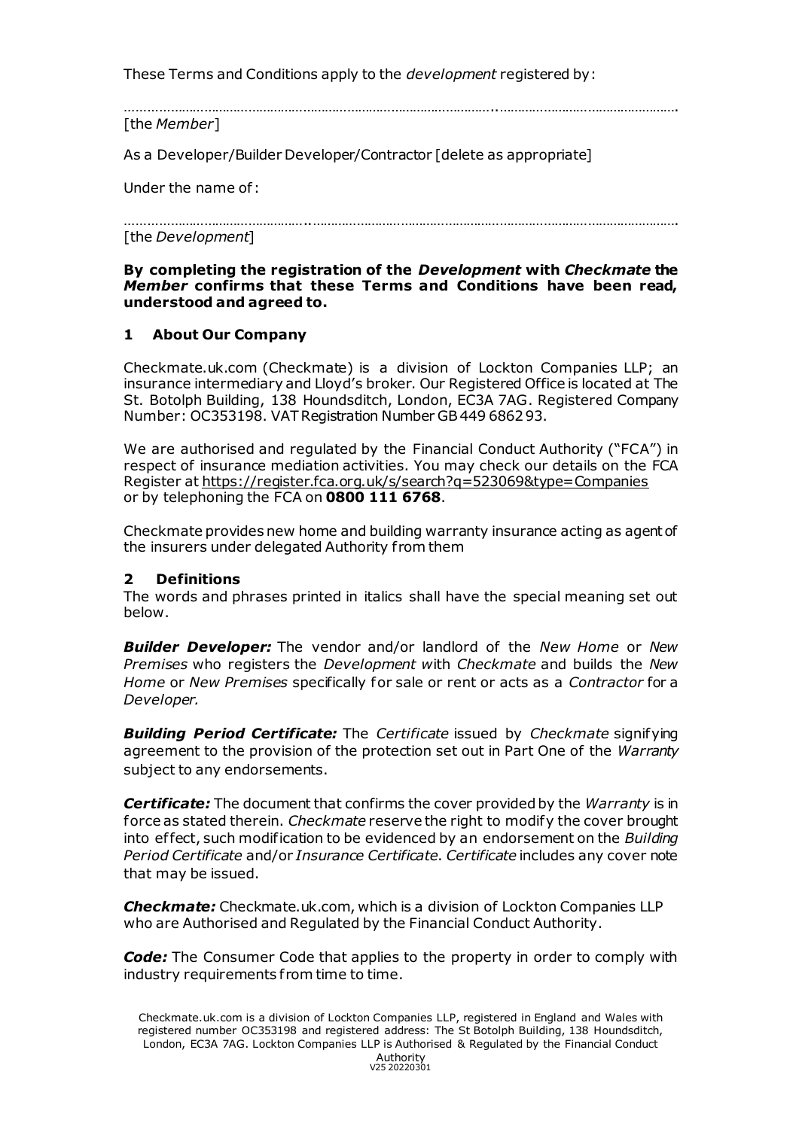These Terms and Conditions apply to the *development* registered by:

………………………………………………………………………………………..………………………………………….

[the *Member*]

As a Developer/Builder Developer/Contractor [delete as appropriate]

Under the name of :

…………………………………………..………………………………………………………………………………………. [the *Development*]

#### **By completing the registration of the** *Development* **with** *Checkmate* **the**  *Member* **confirms that these Terms and Conditions have been read, understood and agreed to.**

## **1 About Our Company**

Checkmate.uk.com (Checkmate) is a division of Lockton Companies LLP; an insurance intermediary and Lloyd's broker. Our Registered Office is located at The St. Botolph Building, 138 Houndsditch, London, EC3A 7AG. Registered Company Number: OC353198. VAT Registration Number GB 449 6862 93.

We are authorised and regulated by the Financial Conduct Authority ("FCA") in respect of insurance mediation activities. You may check our details on the FCA Register a[t https://register.fca.org.uk/s/search?q=523069&type=Companies](https://register.fca.org.uk/s/search?q=523069&type=Companies) or by telephoning the FCA on **0800 111 6768**.

Checkmate provides new home and building warranty insurance acting as agent of the insurers under delegated Authority f rom them

## **2 Definitions**

The words and phrases printed in italics shall have the special meaning set out below.

*Builder Developer:* The vendor and/or landlord of the *New Home* or *New Premises* who registers the *Development w*ith *Checkmate* and builds the *New Home* or *New Premises* specifically for sale or rent or acts as a *Contractor* for a *Developer.*

*Building Period Certificate:* The *Certificate* issued by *Checkmate* signifying agreement to the provision of the protection set out in Part One of the *Warranty*  subject to any endorsements.

*Certificate:* The document that confirms the cover provided by the *Warranty* is in force as stated therein. *Checkmate* reserve the right to modify the cover brought into ef fect, such modification to be evidenced by an endorsement on the *Building Period Certificate* and/or *Insurance Certificate*. *Certificate* includes any cover note that may be issued.

*Checkmate:* Checkmate.uk.com, which is a division of Lockton Companies LLP who are Authorised and Regulated by the Financial Conduct Authority.

*Code:* The Consumer Code that applies to the property in order to comply with industry requirements from time to time.

Checkmate.uk.com is a division of Lockton Companies LLP, registered in England and Wales with registered number OC353198 and registered address: The St Botolph Building, 138 Houndsditch, London, EC3A 7AG. Lockton Companies LLP is Authorised & Regulated by the Financial Conduct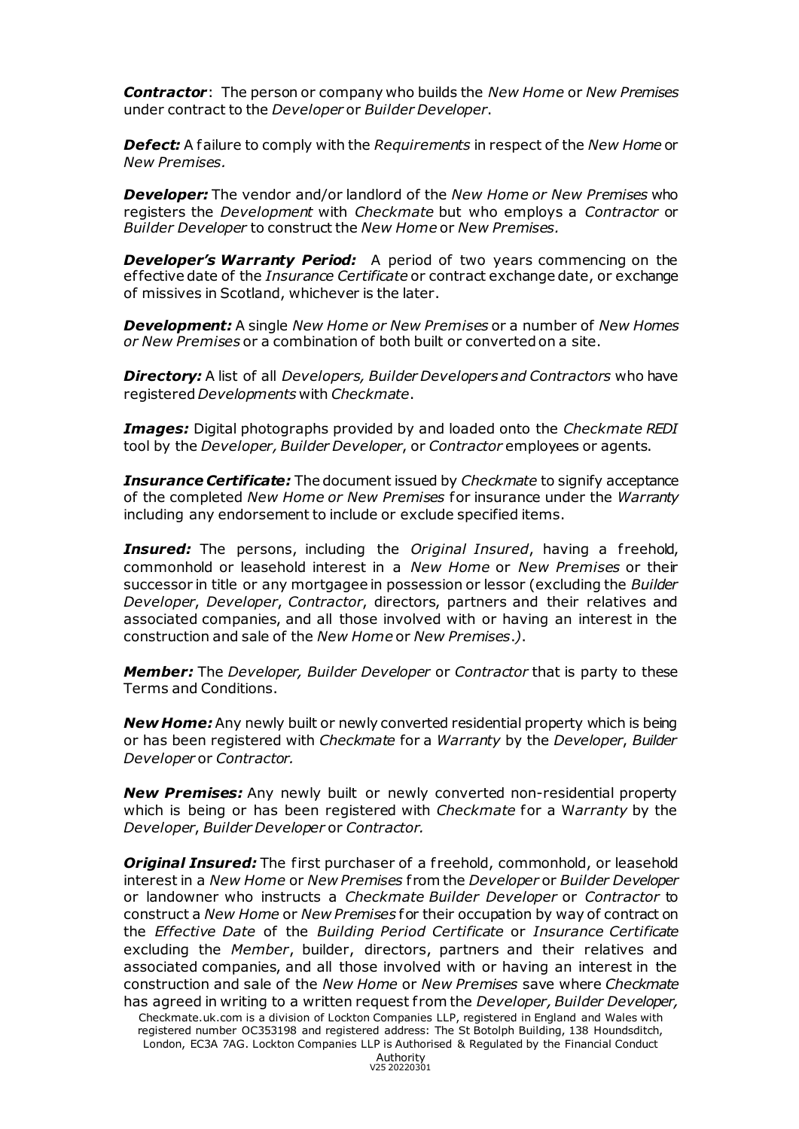*Contractor*: The person or company who builds the *New Home* or *New Premises* under contract to the *Developer* or *Builder Developer*.

*Defect:* A failure to comply with the *Requirements* in respect of the *New Home* or *New Premises.* 

*Developer:* The vendor and/or landlord of the *New Home or New Premises* who registers the *Development* with *Checkmate* but who employs a *Contractor* or *Builder Developer* to construct the *New Home* or *New Premises.*

*Developer's Warranty Period:* A period of two years commencing on the ef fective date of the *Insurance Certificate* or contract exchange date, or exchange of missives in Scotland, whichever is the later.

*Development:* A single *New Home or New Premises* or a number of *New Homes or New Premises* or a combination of both built or converted on a site.

*Directory:* A list of all *Developers, Builder Developers and Contractors* who have registered *Developments* with *Checkmate*.

*Images:* Digital photographs provided by and loaded onto the *Checkmate REDI*  tool by the *Developer, Builder Developer*, or *Contractor* employees or agents.

*Insurance Certificate:* The document issued by *Checkmate* to signify acceptance of the completed *New Home or New Premises* for insurance under the *Warranty* including any endorsement to include or exclude specified items.

**Insured:** The persons, including the *Original Insured*, having a freehold, commonhold or leasehold interest in a *New Home* or *New Premises* or their successor in title or any mortgagee in possession or lessor (excluding the *Builder Developer*, *Developer*, *Contractor*, directors, partners and their relatives and associated companies, and all those involved with or having an interest in the construction and sale of the *New Home* or *New Premises*.*)*.

*Member:* The *Developer, Builder Developer* or *Contractor* that is party to these Terms and Conditions.

*New Home:* Any newly built or newly converted residential property which is being or has been registered with *Checkmate* for a *Warranty* by the *Developer*, *Builder Developer* or *Contractor.*

*New Premises:* Any newly built or newly converted non-residential property which is being or has been registered with *Checkmate* for a W*arranty* by the *Developer*, *Builder Developer* or *Contractor.*

*Original Insured:* The first purchaser of a freehold, commonhold, or leasehold interest in a *New Home* or *New Premises* f rom the *Developer* or *Builder Developer* or landowner who instructs a *Checkmate Builder Developer* or *Contractor* to construct a *New Home* or *New Premises* for their occupation by way of contract on the *Effective Date* of the *Building Period Certificate* or *Insurance Certificate*  excluding the *Member*, builder, directors, partners and their relatives and associated companies, and all those involved with or having an interest in the construction and sale of the *New Home* or *New Premises* save where *Checkmate*  has agreed in writing to a written request f rom the *Developer, Builder Developer,* 

Checkmate.uk.com is a division of Lockton Companies LLP, registered in England and Wales with registered number OC353198 and registered address: The St Botolph Building, 138 Houndsditch, London, EC3A 7AG. Lockton Companies LLP is Authorised & Regulated by the Financial Conduct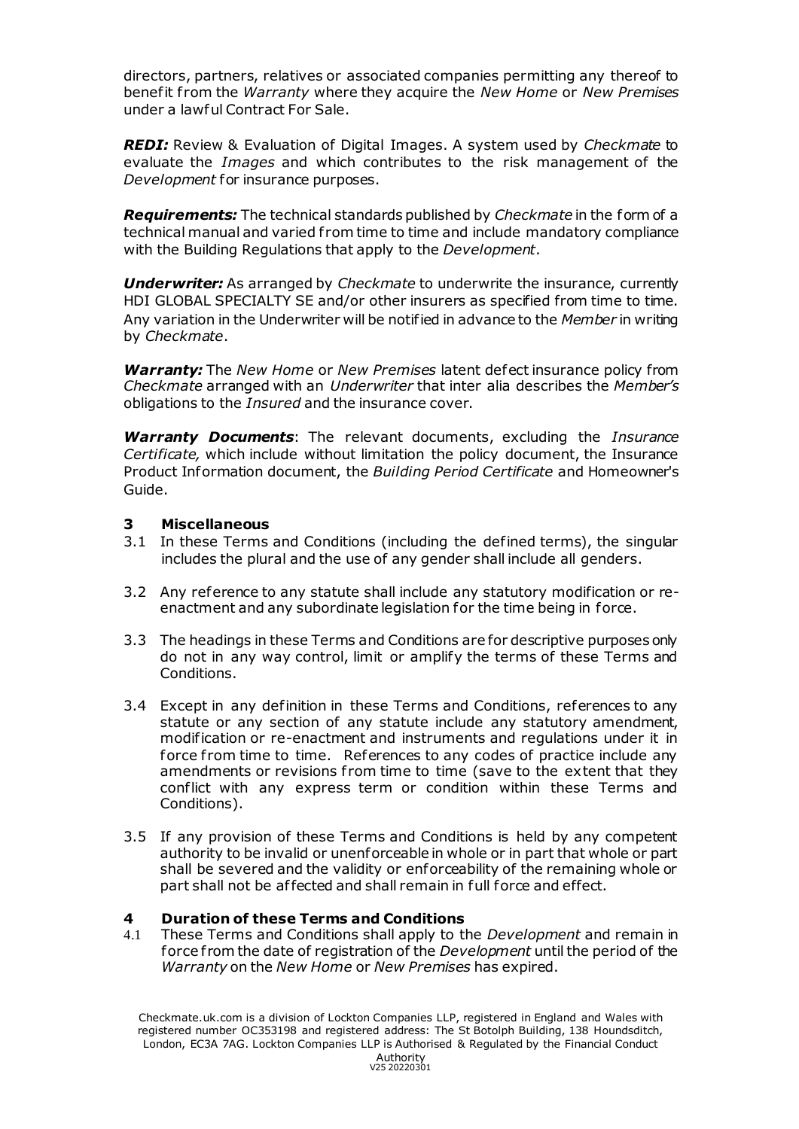directors, partners, relatives or associated companies permitting any thereof to benefit f rom the *Warranty* where they acquire the *New Home* or *New Premises*  under a lawful Contract For Sale.

*REDI:* Review & Evaluation of Digital Images. A system used by *Checkmate* to evaluate the *Images* and which contributes to the risk management of the *Development* for insurance purposes.

*Requirements:* The technical standards published by *Checkmate* in the form of a technical manual and varied f rom time to time and include mandatory compliance with the Building Regulations that apply to the *Development*.

*Underwriter:* As arranged by *Checkmate* to underwrite the insurance, currently HDI GLOBAL SPECIALTY SE and/or other insurers as specified from time to time. Any variation in the Underwriter will be notified in advance to the *Member* in writing by *Checkmate*.

*Warranty:* The *New Home* or *New Premises* latent defect insurance policy from *Checkmate* arranged with an *Underwriter* that inter alia describes the *Member's* obligations to the *Insured* and the insurance cover.

*Warranty Documents*: The relevant documents, excluding the *Insurance Certificate,* which include without limitation the policy document, the Insurance Product Information document, the *Building Period Certificate* and Homeowner's Guide.

#### **3 Miscellaneous**

- 3.1 In these Terms and Conditions (including the defined terms), the singular includes the plural and the use of any gender shall include all genders.
- 3.2 Any reference to any statute shall include any statutory modification or reenactment and any subordinate legislation for the time being in force.
- 3.3 The headings in these Terms and Conditions are for descriptive purposes only do not in any way control, limit or amplify the terms of these Terms and Conditions.
- 3.4 Except in any definition in these Terms and Conditions, references to any statute or any section of any statute include any statutory amendment, modification or re-enactment and instruments and regulations under it in force from time to time. References to any codes of practice include any amendments or revisions from time to time (save to the extent that they conflict with any express term or condition within these Terms and Conditions).
- 3.5 If any provision of these Terms and Conditions is held by any competent authority to be invalid or unenforceable in whole or in part that whole or part shall be severed and the validity or enforceability of the remaining whole or part shall not be affected and shall remain in full force and effect.

## **4 Duration of these Terms and Conditions**

4.1 These Terms and Conditions shall apply to the *Development* and remain in force from the date of registration of the *Development* until the period of the *Warranty* on the *New Home* or *New Premises* has expired.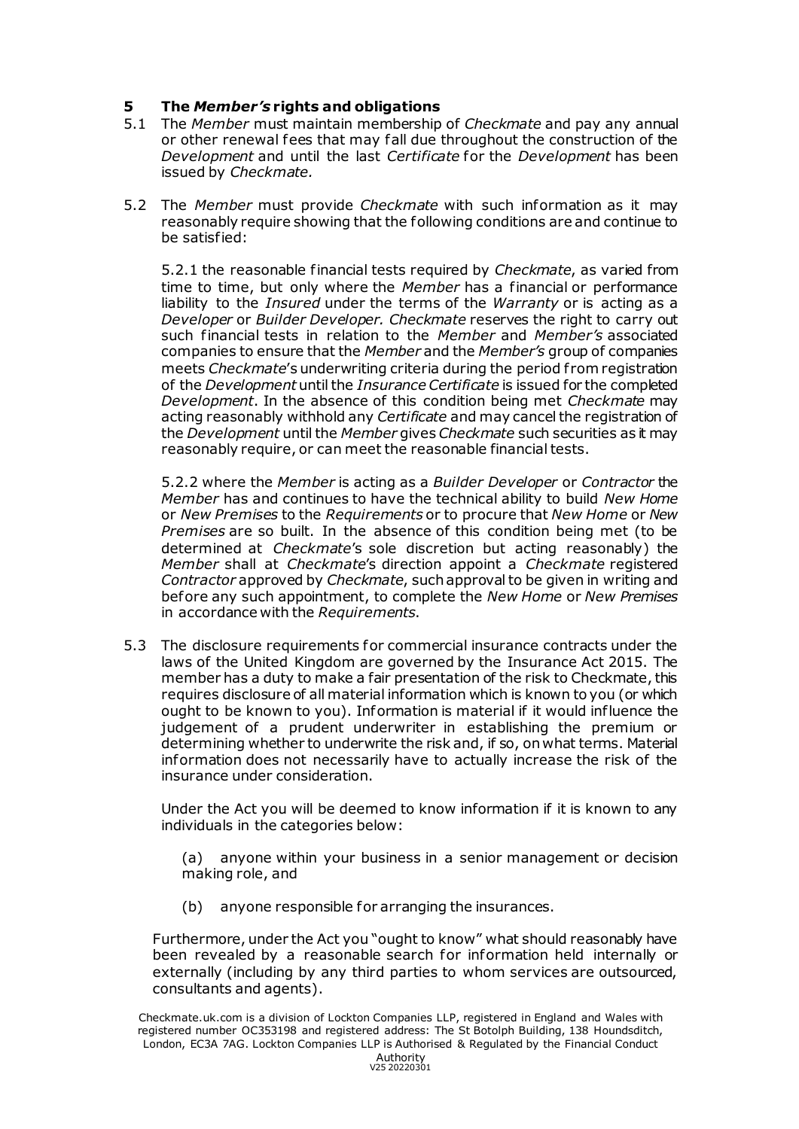## **5 The** *Member's* **rights and obligations**

- 5.1 The *Member* must maintain membership of *Checkmate* and pay any annual or other renewal fees that may fall due throughout the construction of the *Development* and until the last *Certificate* for the *Development* has been issued by *Checkmate.*
- 5.2 The *Member* must provide *Checkmate* with such information as it may reasonably require showing that the following conditions are and continue to be satisfied:

5.2.1 the reasonable financial tests required by *Checkmate*, as varied from time to time, but only where the *Member* has a financial or performance liability to the *Insured* under the terms of the *Warranty* or is acting as a *Developer* or *Builder Developer. Checkmate* reserves the right to carry out such financial tests in relation to the *Member* and *Member's* associated companies to ensure that the *Member* and the *Member's* group of companies meets *Checkmate*'s underwriting criteria during the period f rom registration of the *Development* until the *Insurance Certificate* is issued for the completed *Development*. In the absence of this condition being met *Checkmate* may acting reasonably withhold any *Certificate* and may cancel the registration of the *Development* until the *Member* gives *Checkmate* such securities as it may reasonably require, or can meet the reasonable financial tests.

5.2.2 where the *Member* is acting as a *Builder Developer* or *Contractor* the *Member* has and continues to have the technical ability to build *New Home* or *New Premises* to the *Requirements* or to procure that *New Home* or *New Premises* are so built. In the absence of this condition being met (to be determined at *Checkmate*'s sole discretion but acting reasonably) the *Member* shall at *Checkmate*'s direction appoint a *Checkmate* registered *Contractor* approved by *Checkmate*, such approval to be given in writing and before any such appointment, to complete the *New Home* or *New Premises* in accordance with the *Requirements*.

5.3 The disclosure requirements for commercial insurance contracts under the laws of the United Kingdom are governed by the Insurance Act 2015. The member has a duty to make a fair presentation of the risk to Checkmate, this requires disclosure of all material information which is known to you (or which ought to be known to you). Information is material if it would influence the judgement of a prudent underwriter in establishing the premium or determining whether to underwrite the risk and, if so, on what terms. Material information does not necessarily have to actually increase the risk of the insurance under consideration.

Under the Act you will be deemed to know information if it is known to any individuals in the categories below:

(a) anyone within your business in a senior management or decision making role, and

(b) anyone responsible for arranging the insurances.

Furthermore, under the Act you "ought to know" what should reasonably have been revealed by a reasonable search for information held internally or externally (including by any third parties to whom services are outsourced, consultants and agents).

Checkmate.uk.com is a division of Lockton Companies LLP, registered in England and Wales with registered number OC353198 and registered address: The St Botolph Building, 138 Houndsditch, London, EC3A 7AG. Lockton Companies LLP is Authorised & Regulated by the Financial Conduct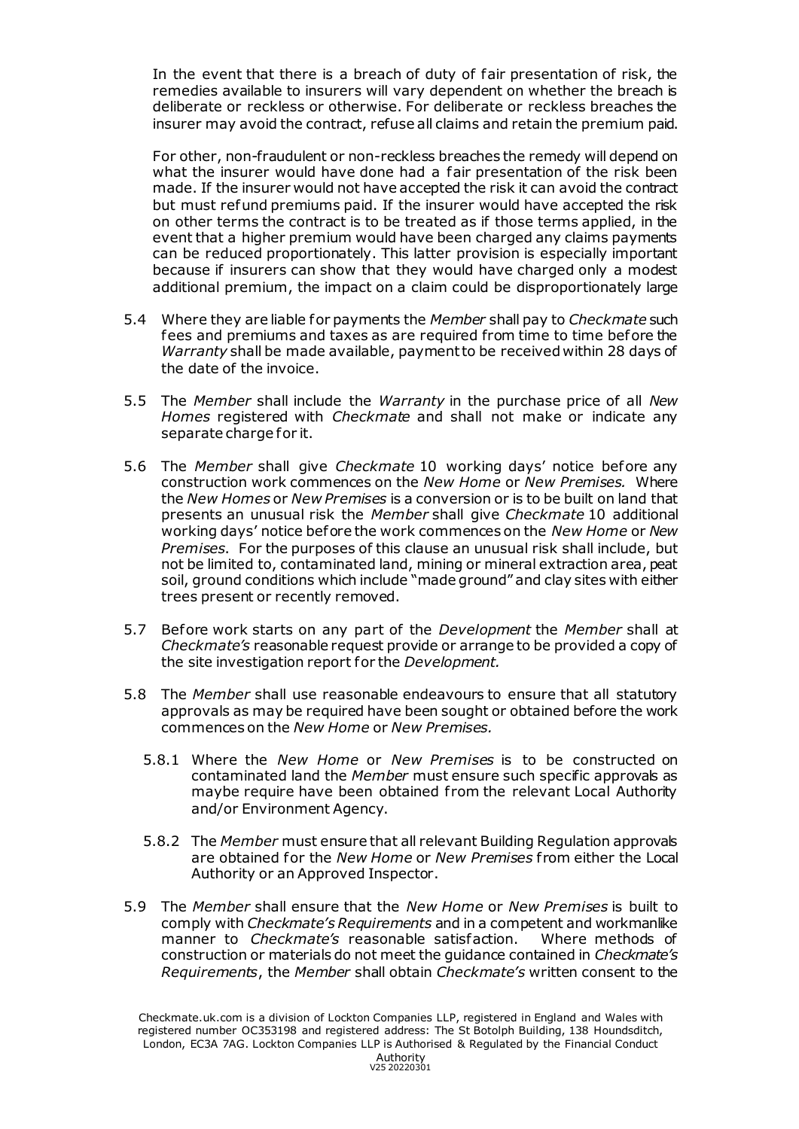In the event that there is a breach of duty of fair presentation of risk, the remedies available to insurers will vary dependent on whether the breach is deliberate or reckless or otherwise. For deliberate or reckless breaches the insurer may avoid the contract, refuse all claims and retain the premium paid.

For other, non-fraudulent or non-reckless breaches the remedy will depend on what the insurer would have done had a fair presentation of the risk been made. If the insurer would not have accepted the risk it can avoid the contract but must refund premiums paid. If the insurer would have accepted the risk on other terms the contract is to be treated as if those terms applied, in the event that a higher premium would have been charged any claims payments can be reduced proportionately. This latter provision is especially important because if insurers can show that they would have charged only a modest additional premium, the impact on a claim could be disproportionately large

- 5.4 Where they are liable for payments the *Member* shall pay to *Checkmate* such fees and premiums and taxes as are required from time to time before the *Warranty* shall be made available, payment to be received within 28 days of the date of the invoice.
- 5.5 The *Member* shall include the *Warranty* in the purchase price of all *New Homes* registered with *Checkmate* and shall not make or indicate any separate charge for it.
- 5.6 The *Member* shall give *Checkmate* 10 working days' notice before any construction work commences on the *New Home* or *New Premises.* Where the *New Homes* or *New Premises* is a conversion or is to be built on land that presents an unusual risk the *Member* shall give *Checkmate* 10 additional working days' notice before the work commences on the *New Home* or *New Premises*. For the purposes of this clause an unusual risk shall include, but not be limited to, contaminated land, mining or mineral extraction area, peat soil, ground conditions which include "made ground" and clay sites with either trees present or recently removed.
- 5.7 Before work starts on any part of the *Development* the *Member* shall at *Checkmate's* reasonable request provide or arrange to be provided a copy of the site investigation report for the *Development.*
- 5.8 The *Member* shall use reasonable endeavours to ensure that all statutory approvals as may be required have been sought or obtained before the work commences on the *New Home* or *New Premises.*
	- 5.8.1 Where the *New Home* or *New Premises* is to be constructed on contaminated land the *Member* must ensure such specific approvals as maybe require have been obtained from the relevant Local Authority and/or Environment Agency.
	- 5.8.2 The *Member* must ensure that all relevant Building Regulation approvals are obtained for the *New Home* or *New Premises* f rom either the Local Authority or an Approved Inspector.
- 5.9 The *Member* shall ensure that the *New Home* or *New Premises* is built to comply with *Checkmate's Requirements* and in a competent and workmanlike manner to *Checkmate's* reasonable satisfaction. Where methods of construction or materials do not meet the guidance contained in *Checkmate's Requirements*, the *Member* shall obtain *Checkmate's* written consent to the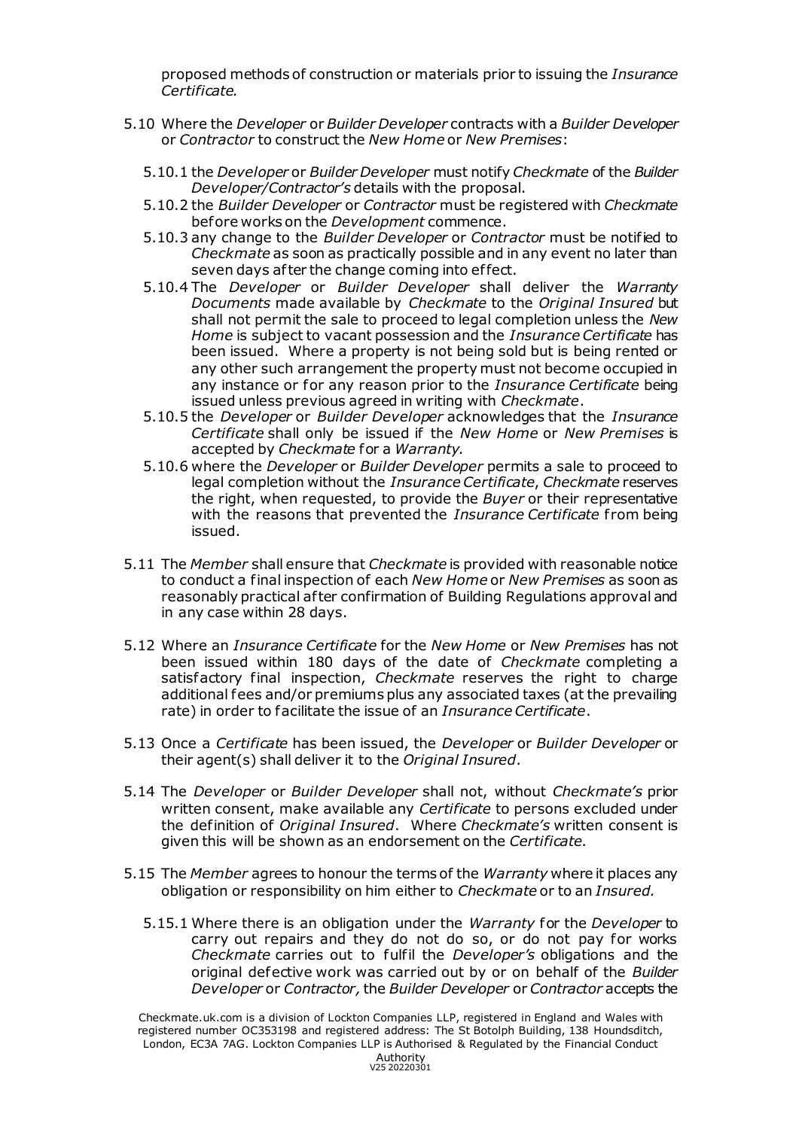proposed methods of construction or materials prior to issuing the *Insurance Certificate.*

- 5.10 Where the *Developer* or *Builder Developer* contracts with a *Builder Developer* or *Contractor* to construct the *New Home* or *New Premises*:
	- 5.10.1 the *Developer* or *Builder Developer* must notify *Checkmate* of the *Builder Developer/Contractor's* details with the proposal.
	- 5.10.2 the *Builder Developer* or *Contractor* must be registered with *Checkmate* before works on the *Development* commence.
	- 5.10.3 any change to the *Builder Developer* or *Contractor* must be notified to *Checkmate* as soon as practically possible and in any event no later than seven days after the change coming into effect.
	- 5.10.4 The *Developer* or *Builder Developer* shall deliver the *Warranty Documents* made available by *Checkmate* to the *Original Insured* but shall not permit the sale to proceed to legal completion unless the *New Home* is subject to vacant possession and the *Insurance Certificate* has been issued. Where a property is not being sold but is being rented or any other such arrangement the property must not become occupied in any instance or for any reason prior to the *Insurance Certificate* being issued unless previous agreed in writing with *Checkmate*.
	- 5.10.5 the *Developer* or *Builder Developer* acknowledges that the *Insurance Certificate* shall only be issued if the *New Home* or *New Premises* is accepted by *Checkmate* for a *Warranty.*
	- 5.10.6 where the *Developer* or *Builder Developer* permits a sale to proceed to legal completion without the *Insurance Certificate*, *Checkmate* reserves the right, when requested, to provide the *Buyer* or their representative with the reasons that prevented the *Insurance Certificate* f rom being issued.
- 5.11 The *Member* shall ensure that *Checkmate* is provided with reasonable notice to conduct a final inspection of each *New Home* or *New Premises* as soon as reasonably practical af ter confirmation of Building Regulations approval and in any case within 28 days.
- 5.12 Where an *Insurance Certificate* for the *New Home* or *New Premises* has not been issued within 180 days of the date of *Checkmate* completing a satisfactory final inspection, *Checkmate* reserves the right to charge additional fees and/or premiums plus any associated taxes (at the prevailing rate) in order to facilitate the issue of an *Insurance Certificate*.
- 5.13 Once a *Certificate* has been issued, the *Developer* or *Builder Developer* or their agent(s) shall deliver it to the *Original Insured*.
- 5.14 The *Developer* or *Builder Developer* shall not, without *Checkmate's* prior written consent, make available any *Certificate* to persons excluded under the definition of *Original Insured*. Where *Checkmate's* written consent is given this will be shown as an endorsement on the *Certificate*.
- 5.15 The *Member* agrees to honour the terms of the *Warranty* where it places any obligation or responsibility on him either to *Checkmate* or to an *Insured.*
	- 5.15.1 Where there is an obligation under the *Warranty* for the *Developer* to carry out repairs and they do not do so, or do not pay for works *Checkmate* carries out to fulfil the *Developer's* obligations and the original defective work was carried out by or on behalf of the *Builder Developer* or *Contractor,*the *Builder Developer* or *Contractor* accepts the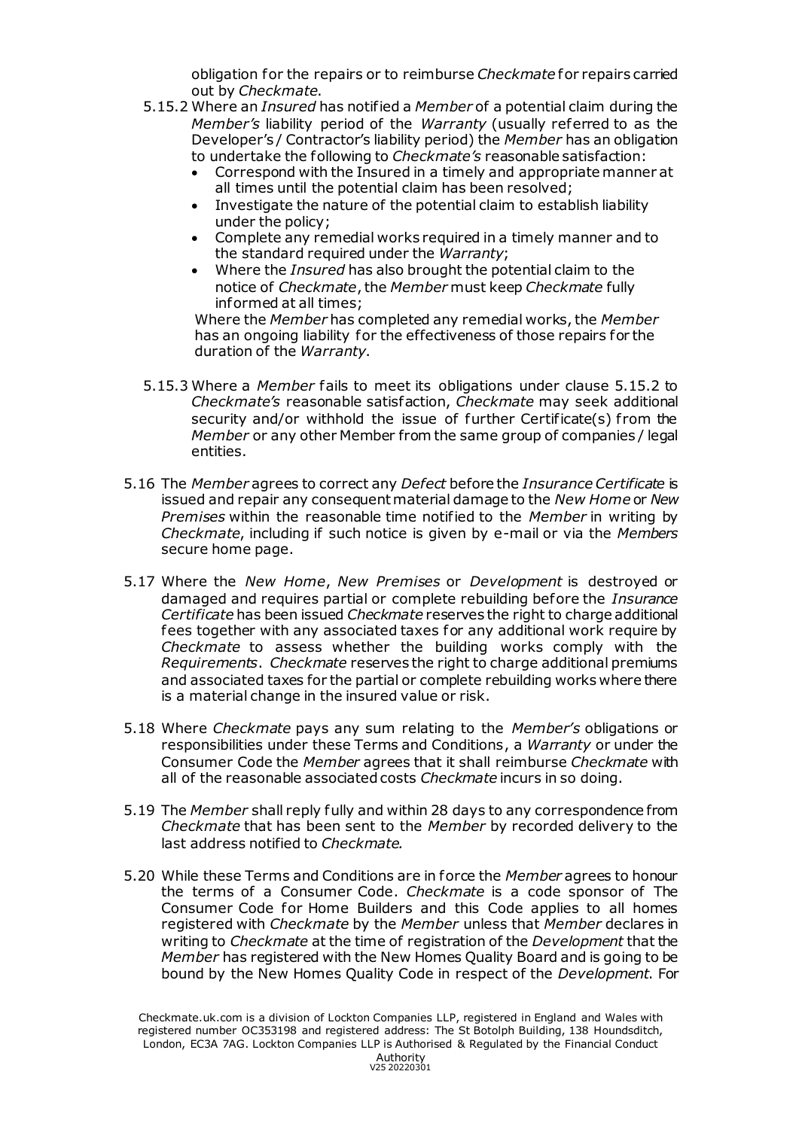obligation for the repairs or to reimburse *Checkmate* for repairs carried out by *Checkmate*.

- 5.15.2 Where an *Insured* has notified a *Member* of a potential claim during the *Member's* liability period of the *Warranty* (usually referred to as the Developer's / Contractor's liability period) the *Member* has an obligation to undertake the following to *Checkmate's* reasonable satisfaction:
	- Correspond with the Insured in a timely and appropriate manner at all times until the potential claim has been resolved;
	- Investigate the nature of the potential claim to establish liability under the policy;
	- Complete any remedial works required in a timely manner and to the standard required under the *Warranty*;
	- Where the *Insured* has also brought the potential claim to the notice of *Checkmate*, the *Member* must keep *Checkmate* fully informed at all times;

Where the *Member* has completed any remedial works, the *Member* has an ongoing liability for the effectiveness of those repairs for the duration of the *Warranty*.

- 5.15.3 Where a *Member* fails to meet its obligations under clause 5.15.2 to *Checkmate's* reasonable satisfaction, *Checkmate* may seek additional security and/or withhold the issue of further Certificate(s) from the *Member* or any other Member from the same group of companies / legal entities.
- 5.16 The *Member* agrees to correct any *Defect* before the *Insurance Certificate* is issued and repair any consequent material damage to the *New Home* or *New Premises* within the reasonable time notified to the *Member* in writing by *Checkmate*, including if such notice is given by e-mail or via the *Members* secure home page.
- 5.17 Where the *New Home*, *New Premises* or *Development* is destroyed or damaged and requires partial or complete rebuilding before the *Insurance Certificate* has been issued *Checkmate* reserves the right to charge additional fees together with any associated taxes for any additional work require by *Checkmate* to assess whether the building works comply with the *Requirements*. *Checkmate* reserves the right to charge additional premiums and associated taxes for the partial or complete rebuilding works where there is a material change in the insured value or risk.
- 5.18 Where *Checkmate* pays any sum relating to the *Member's* obligations or responsibilities under these Terms and Conditions, a *Warranty* or under the Consumer Code the *Member* agrees that it shall reimburse *Checkmate* with all of the reasonable associated costs *Checkmate* incurs in so doing.
- 5.19 The *Member* shall reply fully and within 28 days to any correspondence from *Checkmate* that has been sent to the *Member* by recorded delivery to the last address notified to *Checkmate.*
- 5.20 While these Terms and Conditions are in force the *Member* agrees to honour the terms of a Consumer Code. *Checkmate* is a code sponsor of The Consumer Code for Home Builders and this Code applies to all homes registered with *Checkmate* by the *Member* unless that *Member* declares in writing to *Checkmate* at the time of registration of the *Development* that the *Member* has registered with the New Homes Quality Board and is going to be bound by the New Homes Quality Code in respect of the *Development*. For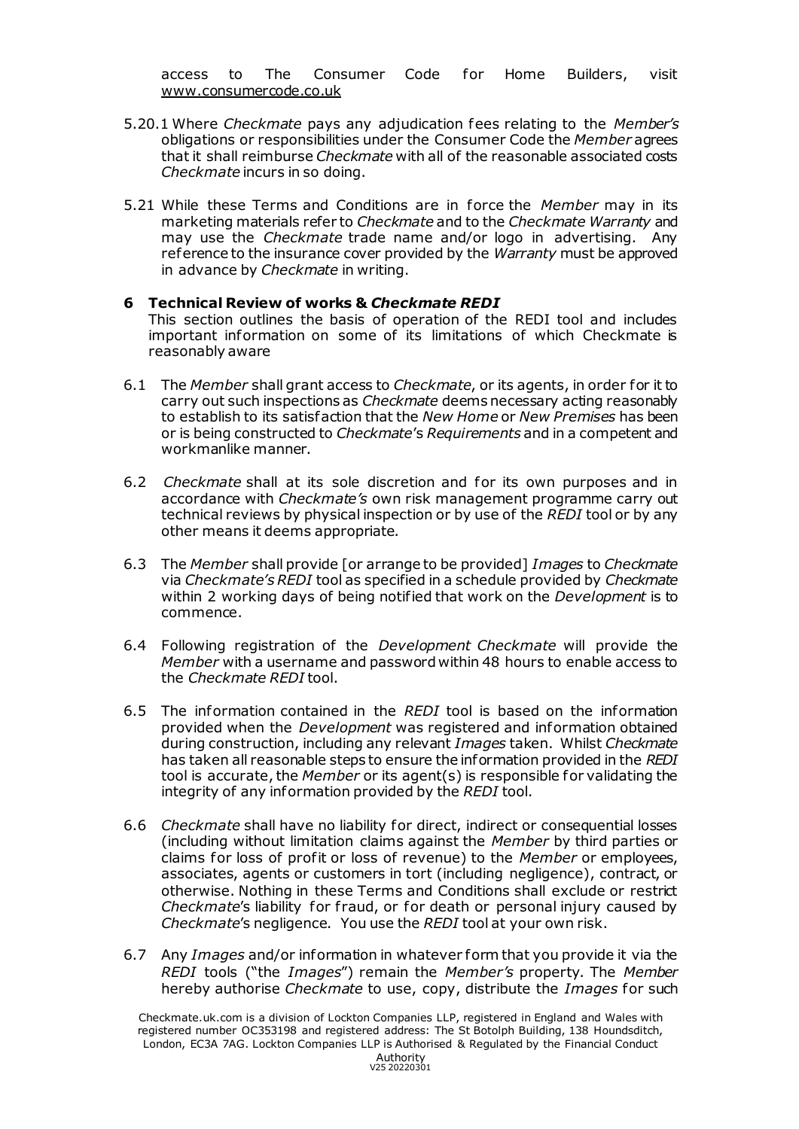access to The Consumer Code for Home Builders, visit [www.consumercode.co.uk](http://www.consumercode.co.uk/) 

- 5.20.1 Where *Checkmate* pays any adjudication fees relating to the *Member's* obligations or responsibilities under the Consumer Code the *Member* agrees that it shall reimburse *Checkmate* with all of the reasonable associated costs *Checkmate* incurs in so doing.
- 5.21 While these Terms and Conditions are in force the *Member* may in its marketing materials refer to *Checkmate* and to the *Checkmate Warranty* and may use the *Checkmate* trade name and/or logo in advertising. Any reference to the insurance cover provided by the *Warranty* must be approved in advance by *Checkmate* in writing.

#### **6 Technical Review of works &** *Checkmate REDI*

This section outlines the basis of operation of the REDI tool and includes important information on some of its limitations of which Checkmate is reasonably aware

- 6.1 The *Member* shall grant access to *Checkmate*, or its agents, in order for it to carry out such inspections as *Checkmate* deems necessary acting reasonably to establish to its satisfaction that the *New Home* or *New Premises* has been or is being constructed to *Checkmate*'s *Requirements* and in a competent and workmanlike manner.
- 6.2 *Checkmate* shall at its sole discretion and for its own purposes and in accordance with *Checkmate's* own risk management programme carry out technical reviews by physical inspection or by use of the *REDI* tool or by any other means it deems appropriate.
- 6.3 The *Member* shall provide [or arrange to be provided] *Images* to *Checkmate* via *Checkmate's REDI* tool as specified in a schedule provided by *Checkmate* within 2 working days of being notified that work on the *Development* is to commence.
- 6.4 Following registration of the *Development Checkmate* will provide the *Member* with a username and password within 48 hours to enable access to the *Checkmate REDI* tool.
- 6.5 The information contained in the *REDI* tool is based on the information provided when the *Development* was registered and information obtained during construction, including any relevant *Images* taken. Whilst *Checkmate* has taken all reasonable steps to ensure the information provided in the *REDI* tool is accurate, the *Member* or its agent(s) is responsible for validating the integrity of any information provided by the *REDI* tool.
- 6.6 *Checkmate* shall have no liability for direct, indirect or consequential losses (including without limitation claims against the *Member* by third parties or claims for loss of profit or loss of revenue) to the *Member* or employees, associates, agents or customers in tort (including negligence), contract, or otherwise. Nothing in these Terms and Conditions shall exclude or restrict *Checkmate's* liability for fraud, or for death or personal injury caused by *Checkmate*'s negligence. You use the *REDI* tool at your own risk.
- 6.7 Any *Images* and/or information in whatever form that you provide it via the *REDI* tools ("the *Images*") remain the *Member's* property. The *Member*  hereby authorise *Checkmate* to use, copy, distribute the *Images* for such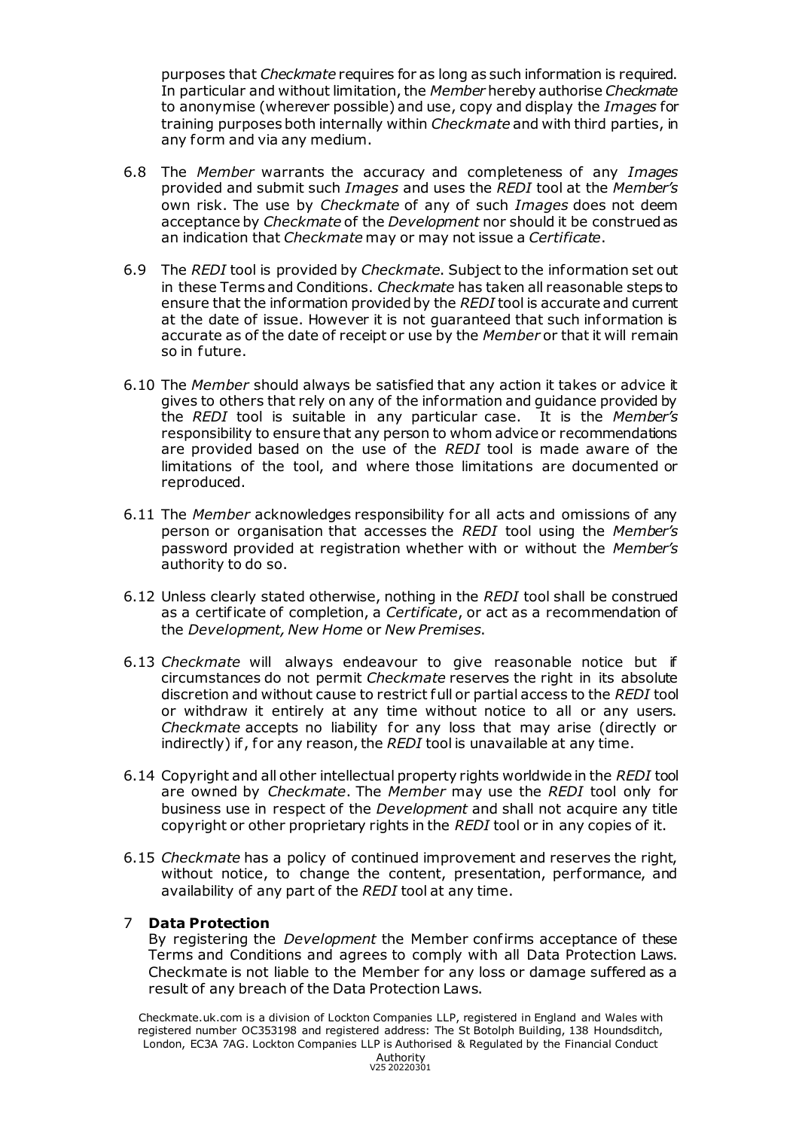purposes that *Checkmate* requires for as long as such information is required. In particular and without limitation, the *Member* hereby authorise *Checkmate* to anonymise (wherever possible) and use, copy and display the *Images* for training purposes both internally within *Checkmate* and with third parties, in any form and via any medium.

- 6.8 The *Member* warrants the accuracy and completeness of any *Images* provided and submit such *Images* and uses the *REDI* tool at the *Member's* own risk. The use by *Checkmate* of any of such *Images* does not deem acceptance by *Checkmate* of the *Development* nor should it be construed as an indication that *Checkmate* may or may not issue a *Certificate*.
- 6.9 The *REDI* tool is provided by *Checkmate*. Subject to the information set out in these Terms and Conditions. *Checkmate* has taken all reasonable steps to ensure that the information provided by the *REDI* tool is accurate and current at the date of issue. However it is not guaranteed that such information is accurate as of the date of receipt or use by the *Member* or that it will remain so in future.
- 6.10 The *Member* should always be satisfied that any action it takes or advice it gives to others that rely on any of the information and guidance provided by the *REDI* tool is suitable in any particular case. It is the *Member's* responsibility to ensure that any person to whom advice or recommendations are provided based on the use of the *REDI* tool is made aware of the limitations of the tool, and where those limitations are documented or reproduced.
- 6.11 The *Member* acknowledges responsibility for all acts and omissions of any person or organisation that accesses the *REDI* tool using the *Member's*  password provided at registration whether with or without the *Member's* authority to do so.
- 6.12 Unless clearly stated otherwise, nothing in the *REDI* tool shall be construed as a certificate of completion, a *Certificate*, or act as a recommendation of the *Development, New Home* or *New Premises*.
- 6.13 *Checkmate* will always endeavour to give reasonable notice but if circumstances do not permit *Checkmate* reserves the right in its absolute discretion and without cause to restrict full or partial access to the *REDI* tool or withdraw it entirely at any time without notice to all or any users. *Checkmate* accepts no liability for any loss that may arise (directly or indirectly) if , for any reason, the *REDI* tool is unavailable at any time.
- 6.14 Copyright and all other intellectual property rights worldwide in the *REDI* tool are owned by *Checkmate*. The *Member* may use the *REDI* tool only for business use in respect of the *Development* and shall not acquire any title copyright or other proprietary rights in the *REDI* tool or in any copies of it.
- 6.15 *Checkmate* has a policy of continued improvement and reserves the right, without notice, to change the content, presentation, performance, and availability of any part of the *REDI* tool at any time.

#### 7 **Data Protection**

By registering the *Development* the Member confirms acceptance of these Terms and Conditions and agrees to comply with all Data Protection Laws. Checkmate is not liable to the Member for any loss or damage suffered as a result of any breach of the Data Protection Laws.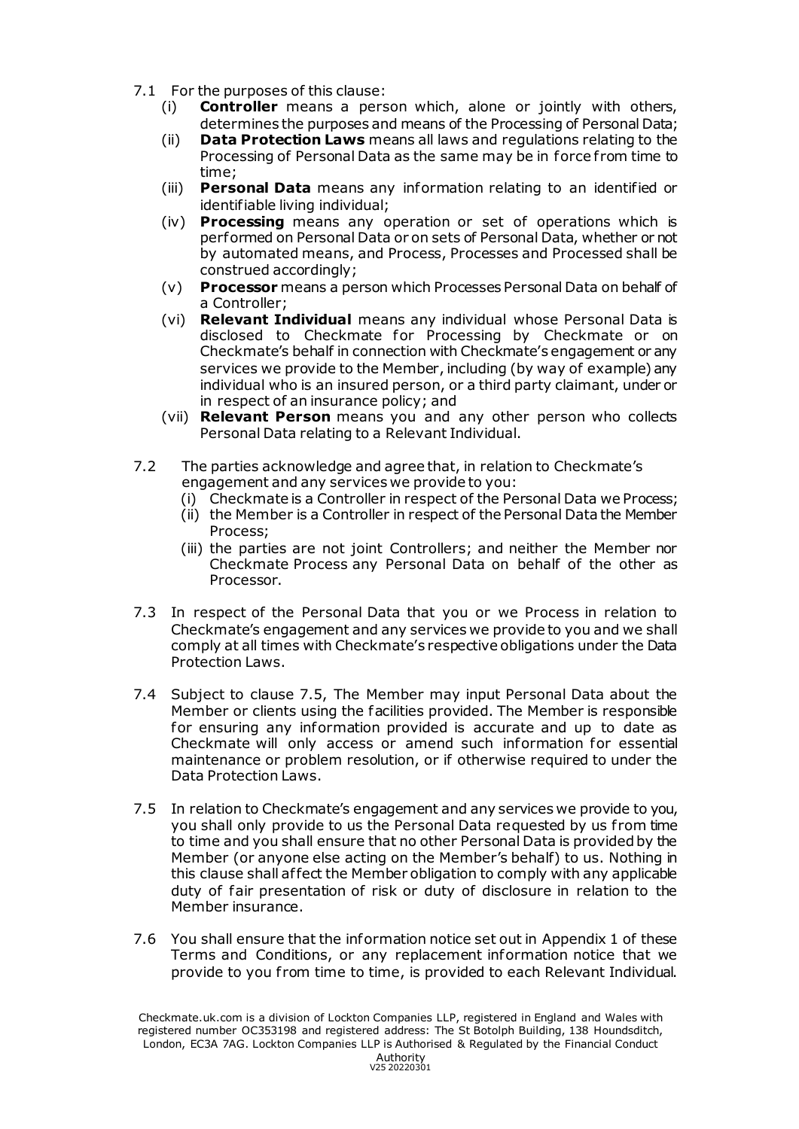- 7.1 For the purposes of this clause:
	- (i) **Controller** means a person which, alone or jointly with others, determines the purposes and means of the Processing of Personal Data;
	- (ii) **Data Protection Laws** means all laws and regulations relating to the Processing of Personal Data as the same may be in force from time to time;
	- (iii) **Personal Data** means any information relating to an identified or identifiable living individual;
	- (iv) **Processing** means any operation or set of operations which is performed on Personal Data or on sets of Personal Data, whether or not by automated means, and Process, Processes and Processed shall be construed accordingly;
	- (v) **Processor** means a person which Processes Personal Data on behalf of a Controller;
	- (vi) **Relevant Individual** means any individual whose Personal Data is disclosed to Checkmate for Processing by Checkmate or on Checkmate's behalf in connection with Checkmate's engagement or any services we provide to the Member, including (by way of example) any individual who is an insured person, or a third party claimant, under or in respect of an insurance policy; and
	- (vii) **Relevant Person** means you and any other person who collects Personal Data relating to a Relevant Individual.
- 7.2 The parties acknowledge and agree that, in relation to Checkmate's engagement and any services we provide to you:
	- (i) Checkmate is a Controller in respect of the Personal Data we Process;
	- (ii) the Member is a Controller in respect of the Personal Data the Member Process;
	- (iii) the parties are not joint Controllers; and neither the Member nor Checkmate Process any Personal Data on behalf of the other as Processor.
- 7.3 In respect of the Personal Data that you or we Process in relation to Checkmate's engagement and any services we provide to you and we shall comply at all times with Checkmate's respective obligations under the Data Protection Laws.
- 7.4 Subject to clause 7.5, The Member may input Personal Data about the Member or clients using the facilities provided. The Member is responsible for ensuring any information provided is accurate and up to date as Checkmate will only access or amend such information for essential maintenance or problem resolution, or if otherwise required to under the Data Protection Laws.
- 7.5 In relation to Checkmate's engagement and any services we provide to you, you shall only provide to us the Personal Data requested by us from time to time and you shall ensure that no other Personal Data is provided by the Member (or anyone else acting on the Member's behalf) to us. Nothing in this clause shall af fect the Member obligation to comply with any applicable duty of fair presentation of risk or duty of disclosure in relation to the Member insurance.
- 7.6 You shall ensure that the information notice set out in Appendix 1 of these Terms and Conditions, or any replacement information notice that we provide to you from time to time, is provided to each Relevant Individual.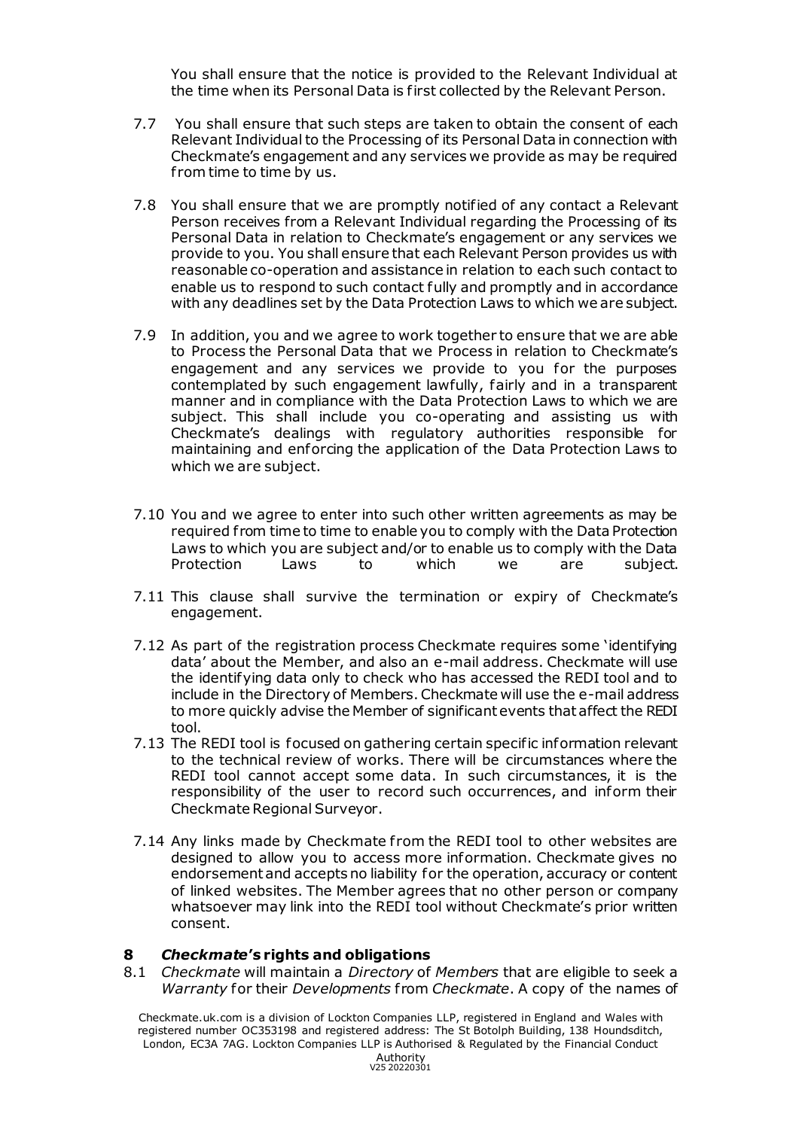You shall ensure that the notice is provided to the Relevant Individual at the time when its Personal Data is first collected by the Relevant Person.

- 7.7 You shall ensure that such steps are taken to obtain the consent of each Relevant Individual to the Processing of its Personal Data in connection with Checkmate's engagement and any services we provide as may be required from time to time by us.
- 7.8 You shall ensure that we are promptly notified of any contact a Relevant Person receives from a Relevant Individual regarding the Processing of its Personal Data in relation to Checkmate's engagement or any services we provide to you. You shall ensure that each Relevant Person provides us with reasonable co-operation and assistance in relation to each such contact to enable us to respond to such contact fully and promptly and in accordance with any deadlines set by the Data Protection Laws to which we are subject.
- 7.9 In addition, you and we agree to work together to ensure that we are able to Process the Personal Data that we Process in relation to Checkmate's engagement and any services we provide to you for the purposes contemplated by such engagement lawfully, fairly and in a transparent manner and in compliance with the Data Protection Laws to which we are subject. This shall include you co-operating and assisting us with Checkmate's dealings with regulatory authorities responsible for maintaining and enforcing the application of the Data Protection Laws to which we are subject.
- 7.10 You and we agree to enter into such other written agreements as may be required from time to time to enable you to comply with the Data Protection Laws to which you are subject and/or to enable us to comply with the Data Protection Laws to which we are subject.
- 7.11 This clause shall survive the termination or expiry of Checkmate's engagement.
- 7.12 As part of the registration process Checkmate requires some 'identifying data' about the Member, and also an e-mail address. Checkmate will use the identifying data only to check who has accessed the REDI tool and to include in the Directory of Members. Checkmate will use the e-mail address to more quickly advise the Member of significant events that affect the REDI tool.
- 7.13 The REDI tool is focused on gathering certain specific information relevant to the technical review of works. There will be circumstances where the REDI tool cannot accept some data. In such circumstances, it is the responsibility of the user to record such occurrences, and inform their Checkmate Regional Surveyor.
- 7.14 Any links made by Checkmate from the REDI tool to other websites are designed to allow you to access more information. Checkmate gives no endorsement and accepts no liability for the operation, accuracy or content of linked websites. The Member agrees that no other person or company whatsoever may link into the REDI tool without Checkmate's prior written consent.

#### **8** *Checkmate***'s rights and obligations**

8.1 *Checkmate* will maintain a *Directory* of *Members* that are eligible to seek a *Warranty* for their *Developments* from *Checkmate*. A copy of the names of

Checkmate.uk.com is a division of Lockton Companies LLP, registered in England and Wales with registered number OC353198 and registered address: The St Botolph Building, 138 Houndsditch, London, EC3A 7AG. Lockton Companies LLP is Authorised & Regulated by the Financial Conduct

Authority V25 20220301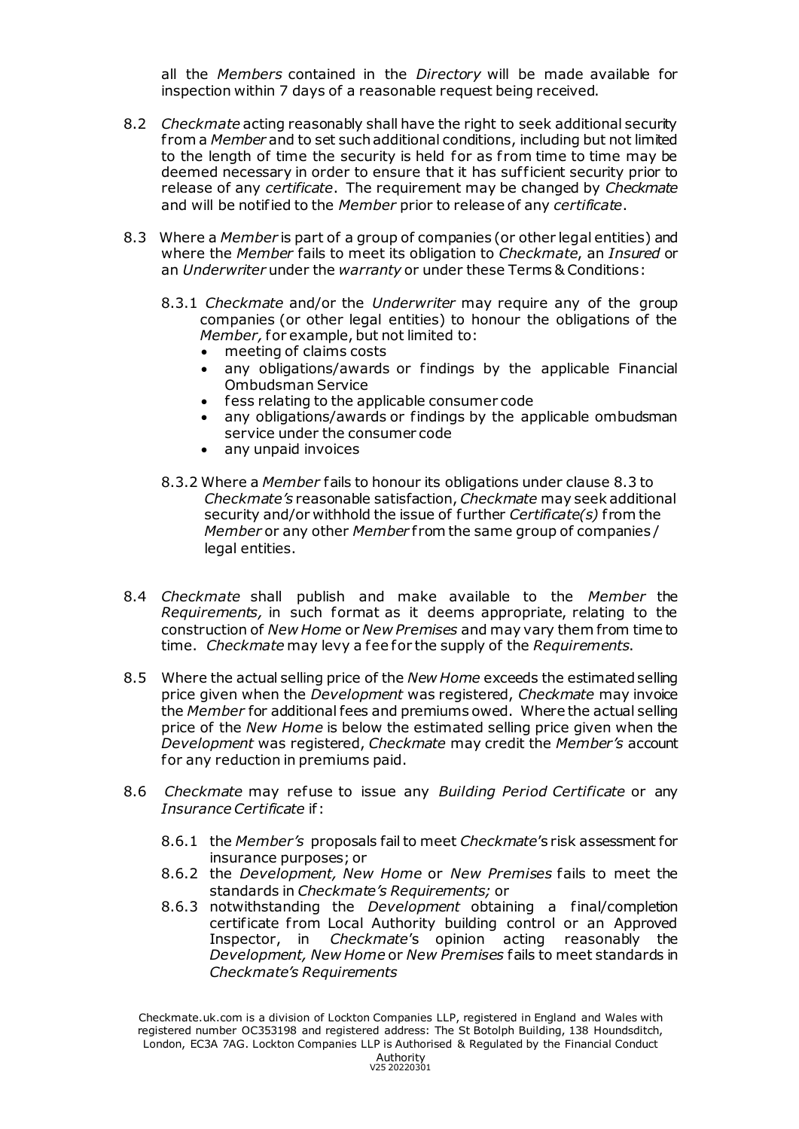all the *Members* contained in the *Directory* will be made available for inspection within 7 days of a reasonable request being received.

- 8.2 *Checkmate* acting reasonably shall have the right to seek additional security f rom a *Member* and to set such additional conditions, including but not limited to the length of time the security is held for as from time to time may be deemed necessary in order to ensure that it has suf ficient security prior to release of any *certificate*. The requirement may be changed by *Checkmate* and will be notified to the *Member* prior to release of any *certificate*.
- 8.3 Where a *Member* is part of a group of companies (or other legal entities) and where the *Member* fails to meet its obligation to *Checkmate*, an *Insured* or an *Underwriter* under the *warranty* or under these Terms & Conditions:
	- 8.3.1 *Checkmate* and/or the *Underwriter* may require any of the group companies (or other legal entities) to honour the obligations of the *Member,* for example, but not limited to:
		- meeting of claims costs
		- any obligations/awards or findings by the applicable Financial Ombudsman Service
		- fess relating to the applicable consumer code
		- any obligations/awards or findings by the applicable ombudsman service under the consumer code
		- any unpaid invoices
	- 8.3.2 Where a *Member* fails to honour its obligations under clause 8.3 to *Checkmate's* reasonable satisfaction, *Checkmate* may seek additional security and/or withhold the issue of further *Certificate(s)* f rom the *Member* or any other *Member* from the same group of companies / legal entities.
- 8.4 *Checkmate* shall publish and make available to the *Member* the *Requirements,* in such format as it deems appropriate, relating to the construction of *New Home* or *New Premises* and may vary them from time to time. *Checkmate* may levy a fee for the supply of the *Requirements*.
- 8.5 Where the actual selling price of the *New Home* exceeds the estimated selling price given when the *Development* was registered, *Checkmate* may invoice the *Member* for additional fees and premiums owed. Where the actual selling price of the *New Home* is below the estimated selling price given when the *Development* was registered, *Checkmate* may credit the *Member's* account for any reduction in premiums paid.
- 8.6 *Checkmate* may refuse to issue any *Building Period Certificate* or any *Insurance Certificate* if:
	- 8.6.1 the *Member's* proposals fail to meet *Checkmate*'s risk assessment for insurance purposes; or
	- 8.6.2 the *Development, New Home* or *New Premises* fails to meet the standards in *Checkmate's Requirements;* or
	- 8.6.3 notwithstanding the *Development* obtaining a final/completion certificate from Local Authority building control or an Approved Inspector, in *Checkmate*'s opinion acting reasonably the *Development, New Home* or *New Premises* fails to meet standards in *Checkmate's Requirements*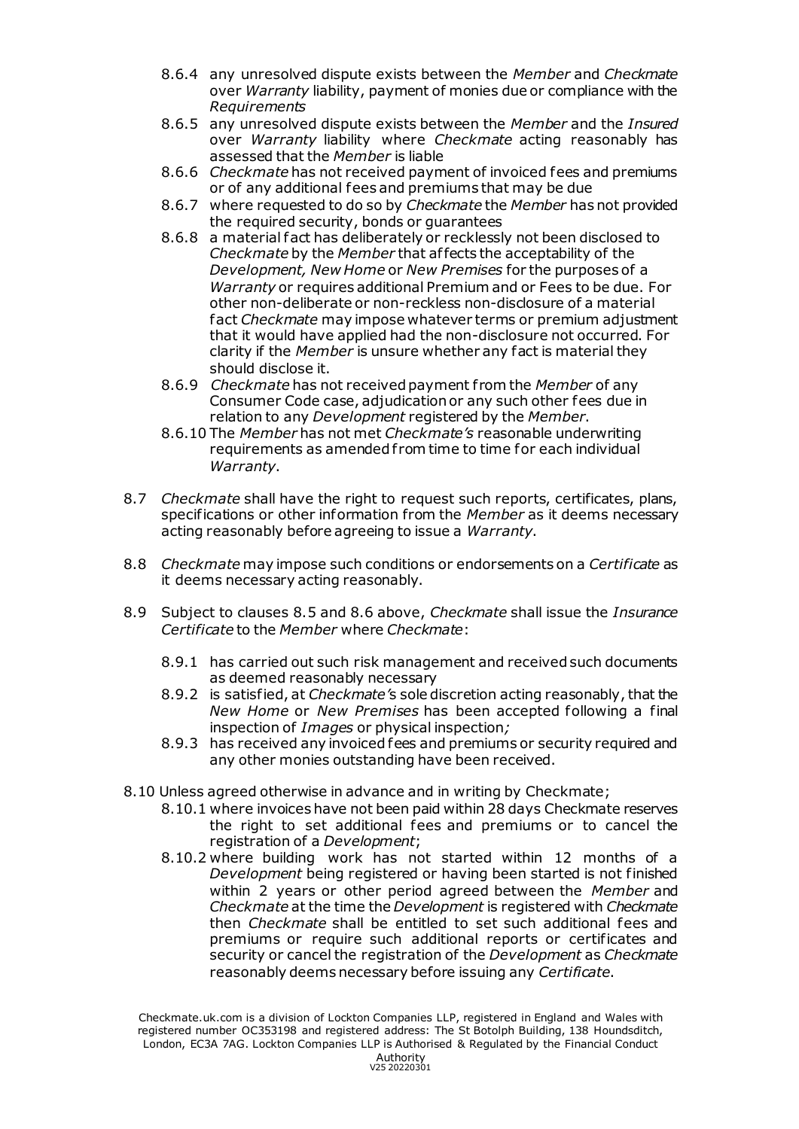- 8.6.4 any unresolved dispute exists between the *Member* and *Checkmate* over *Warranty* liability, payment of monies due or compliance with the *Requirements*
- 8.6.5 any unresolved dispute exists between the *Member* and the *Insured* over *Warranty* liability where *Checkmate* acting reasonably has assessed that the *Member* is liable
- 8.6.6 *Checkmate* has not received payment of invoiced fees and premiums or of any additional fees and premiums that may be due
- 8.6.7 where requested to do so by *Checkmate* the *Member* has not provided the required security, bonds or guarantees
- 8.6.8 a material fact has deliberately or recklessly not been disclosed to *Checkmate* by the *Member* that af fects the acceptability of the *Development, New Home* or *New Premises* for the purposes of a *Warranty* or requires additional Premium and or Fees to be due. For other non-deliberate or non-reckless non-disclosure of a material fact *Checkmate* may impose whatever terms or premium adjustment that it would have applied had the non-disclosure not occurred. For clarity if the *Member* is unsure whether any fact is material they should disclose it.
- 8.6.9 *Checkmate* has not received payment f rom the *Member* of any Consumer Code case, adjudication or any such other fees due in relation to any *Development* registered by the *Member*.
- 8.6.10 The *Member* has not met *Checkmate's* reasonable underwriting requirements as amended f rom time to time for each individual *Warranty*.
- 8.7 *Checkmate* shall have the right to request such reports, certificates, plans, specifications or other information from the *Member* as it deems necessary acting reasonably before agreeing to issue a *Warranty*.
- 8.8 *Checkmate* may impose such conditions or endorsements on a *Certificate* as it deems necessary acting reasonably.
- 8.9 Subject to clauses 8.5 and 8.6 above, *Checkmate* shall issue the *Insurance Certificate* to the *Member* where *Checkmate*:
	- 8.9.1 has carried out such risk management and received such documents as deemed reasonably necessary
	- 8.9.2 is satisfied, at *Checkmate'*s sole discretion acting reasonably, that the *New Home* or *New Premises* has been accepted following a final inspection of *Images* or physical inspection*;*
	- 8.9.3 has received any invoiced fees and premiums or security required and any other monies outstanding have been received.
- 8.10 Unless agreed otherwise in advance and in writing by Checkmate;
	- 8.10.1 where invoices have not been paid within 28 days Checkmate reserves the right to set additional fees and premiums or to cancel the registration of a *Development*;
	- 8.10.2 where building work has not started within 12 months of a *Development* being registered or having been started is not finished within 2 years or other period agreed between the *Member* and *Checkmate* at the time the *Development* is registered with *Checkmate*  then *Checkmate* shall be entitled to set such additional fees and premiums or require such additional reports or certificates and security or cancel the registration of the *Development* as *Checkmate* reasonably deems necessary before issuing any *Certificate*.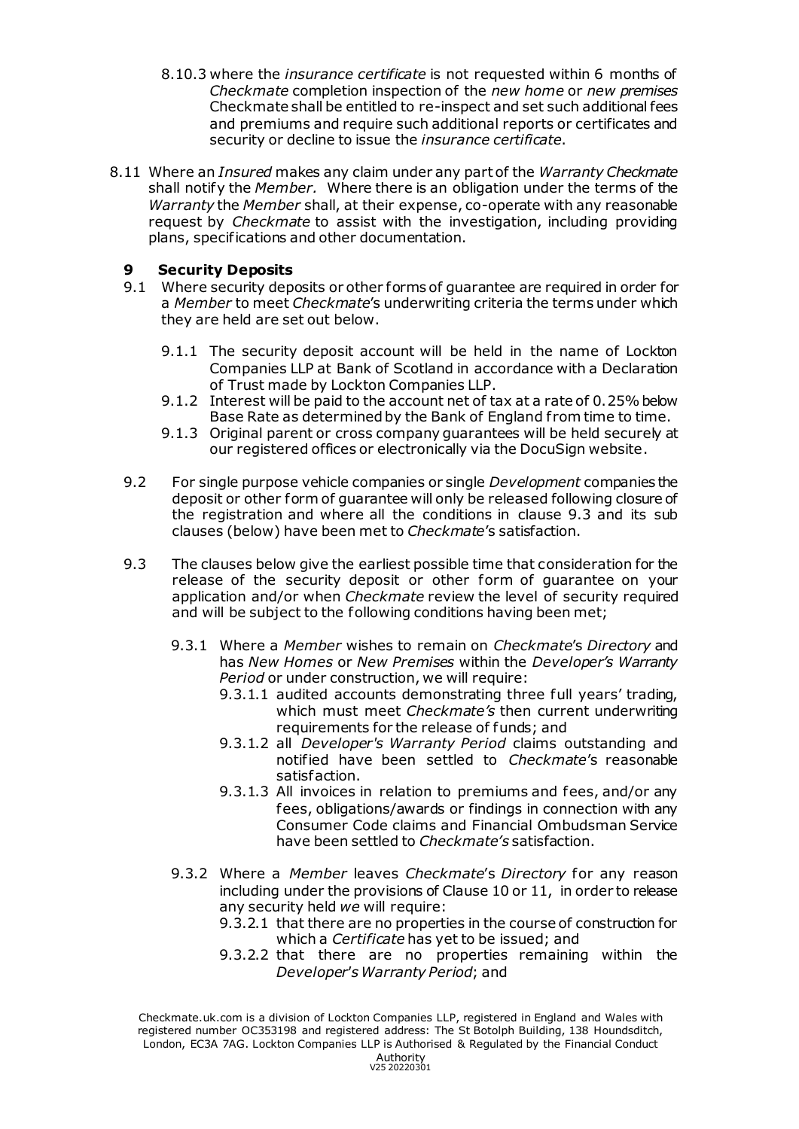- 8.10.3 where the *insurance certificate* is not requested within 6 months of *Checkmate* completion inspection of the *new home* or *new premises* Checkmate shall be entitled to re-inspect and set such additional fees and premiums and require such additional reports or certificates and security or decline to issue the *insurance certificate*.
- 8.11 Where an *Insured* makes any claim under any part of the *Warranty Checkmate* shall notify the *Member.* Where there is an obligation under the terms of the *Warranty* the *Member* shall, at their expense, co-operate with any reasonable request by *Checkmate* to assist with the investigation, including providing plans, specifications and other documentation.

## **9 Security Deposits**

- 9.1 Where security deposits or other forms of guarantee are required in order for a *Member* to meet *Checkmate*'s underwriting criteria the terms under which they are held are set out below.
	- 9.1.1 The security deposit account will be held in the name of Lockton Companies LLP at Bank of Scotland in accordance with a Declaration of Trust made by Lockton Companies LLP.
	- 9.1.2 Interest will be paid to the account net of tax at a rate of 0.25% below Base Rate as determined by the Bank of England from time to time.
	- 9.1.3 Original parent or cross company guarantees will be held securely at our registered offices or electronically via the DocuSign website.
- 9.2 For single purpose vehicle companies or single *Development* companies the deposit or other form of guarantee will only be released following closure of the registration and where all the conditions in clause 9.3 and its sub clauses (below) have been met to *Checkmate*'s satisfaction.
- 9.3 The clauses below give the earliest possible time that consideration for the release of the security deposit or other form of guarantee on your application and/or when *Checkmate* review the level of security required and will be subject to the following conditions having been met;
	- 9.3.1 Where a *Member* wishes to remain on *Checkmate*'s *Directory* and has *New Homes* or *New Premises* within the *Developer's Warranty Period* or under construction, we will require:
		- 9.3.1.1 audited accounts demonstrating three full years' trading, which must meet *Checkmate's* then current underwriting requirements for the release of funds; and
		- 9.3.1.2 all *Developer's Warranty Period* claims outstanding and notified have been settled to *Checkmate*'s reasonable satisfaction.
		- 9.3.1.3 All invoices in relation to premiums and fees, and/or any fees, obligations/awards or findings in connection with any Consumer Code claims and Financial Ombudsman Service have been settled to *Checkmate's* satisfaction.
	- 9.3.2 Where a *Member* leaves *Checkmate*'s *Directory* for any reason including under the provisions of Clause 10 or 11, in order to release any security held *we* will require:
		- 9.3.2.1 that there are no properties in the course of construction for which a *Certificate* has yet to be issued; and
		- 9.3.2.2 that there are no properties remaining within the *Developer's Warranty Period*; and

Checkmate.uk.com is a division of Lockton Companies LLP, registered in England and Wales with registered number OC353198 and registered address: The St Botolph Building, 138 Houndsditch, London, EC3A 7AG. Lockton Companies LLP is Authorised & Regulated by the Financial Conduct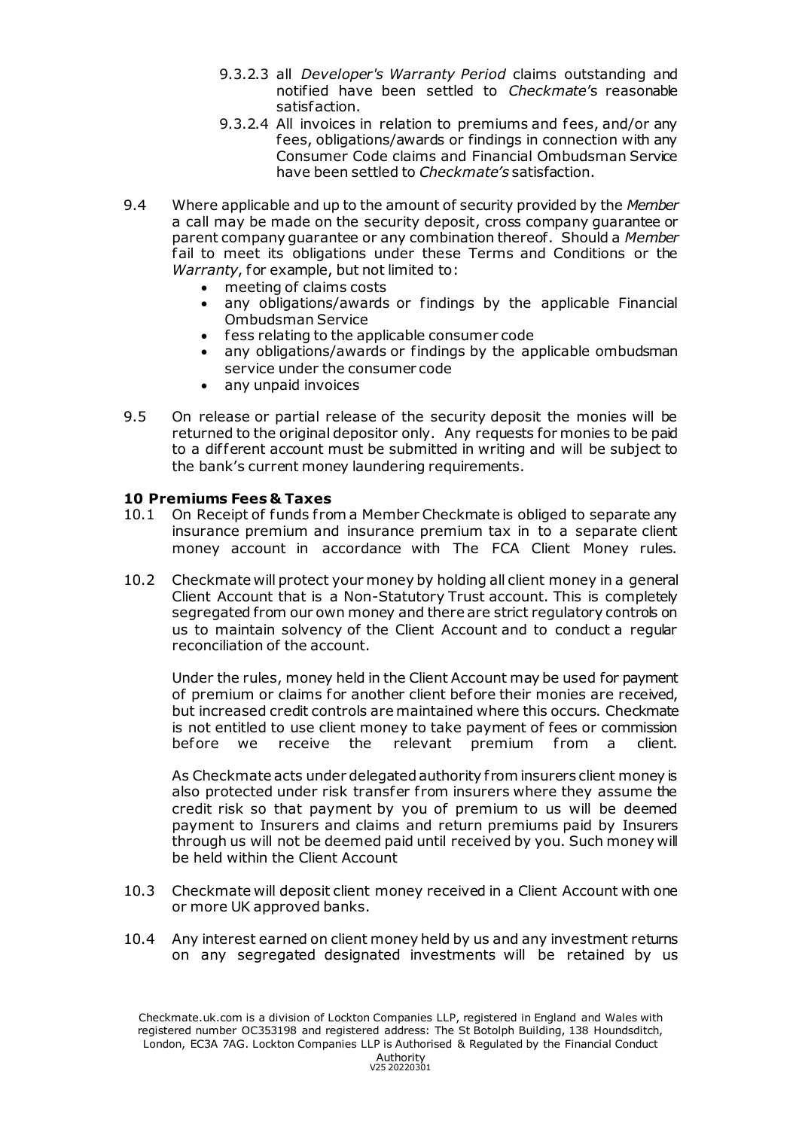- 9.3.2.3 all *Developer's Warranty Period* claims outstanding and notified have been settled to *Checkmate*'s reasonable satisfaction.
- 9.3.2.4 All invoices in relation to premiums and fees, and/or any fees, obligations/awards or findings in connection with any Consumer Code claims and Financial Ombudsman Service have been settled to *Checkmate's* satisfaction.
- 9.4 Where applicable and up to the amount of security provided by the *Member*  a call may be made on the security deposit, cross company guarantee or parent company guarantee or any combination thereof. Should a *Member* fail to meet its obligations under these Terms and Conditions or the *Warranty*, for example, but not limited to:
	- meeting of claims costs
	- any obligations/awards or findings by the applicable Financial Ombudsman Service
	- fess relating to the applicable consumer code
	- any obligations/awards or findings by the applicable ombudsman service under the consumer code
	- any unpaid invoices
- 9.5 On release or partial release of the security deposit the monies will be returned to the original depositor only. Any requests for monies to be paid to a dif ferent account must be submitted in writing and will be subject to the bank's current money laundering requirements.

#### **10 Premiums Fees & Taxes**

- 10.1 On Receipt of funds from a Member Checkmate is obliged to separate any insurance premium and insurance premium tax in to a separate client money account in accordance with The FCA Client Money rules.
- 10.2 Checkmate will protect your money by holding all client money in a general Client Account that is a Non-Statutory Trust account. This is completely segregated from our own money and there are strict regulatory controls on us to maintain solvency of the Client Account and to conduct a regular reconciliation of the account.

Under the rules, money held in the Client Account may be used for payment of premium or claims for another client before their monies are received, but increased credit controls are maintained where this occurs. Checkmate is not entitled to use client money to take payment of fees or commission before we receive the relevant premium from a client.

As Checkmate acts under delegated authority from insurers client money is also protected under risk transfer from insurers where they assume the credit risk so that payment by you of premium to us will be deemed payment to Insurers and claims and return premiums paid by Insurers through us will not be deemed paid until received by you. Such money will be held within the Client Account

- 10.3 Checkmate will deposit client money received in a Client Account with one or more UK approved banks.
- 10.4 Any interest earned on client money held by us and any investment returns on any segregated designated investments will be retained by us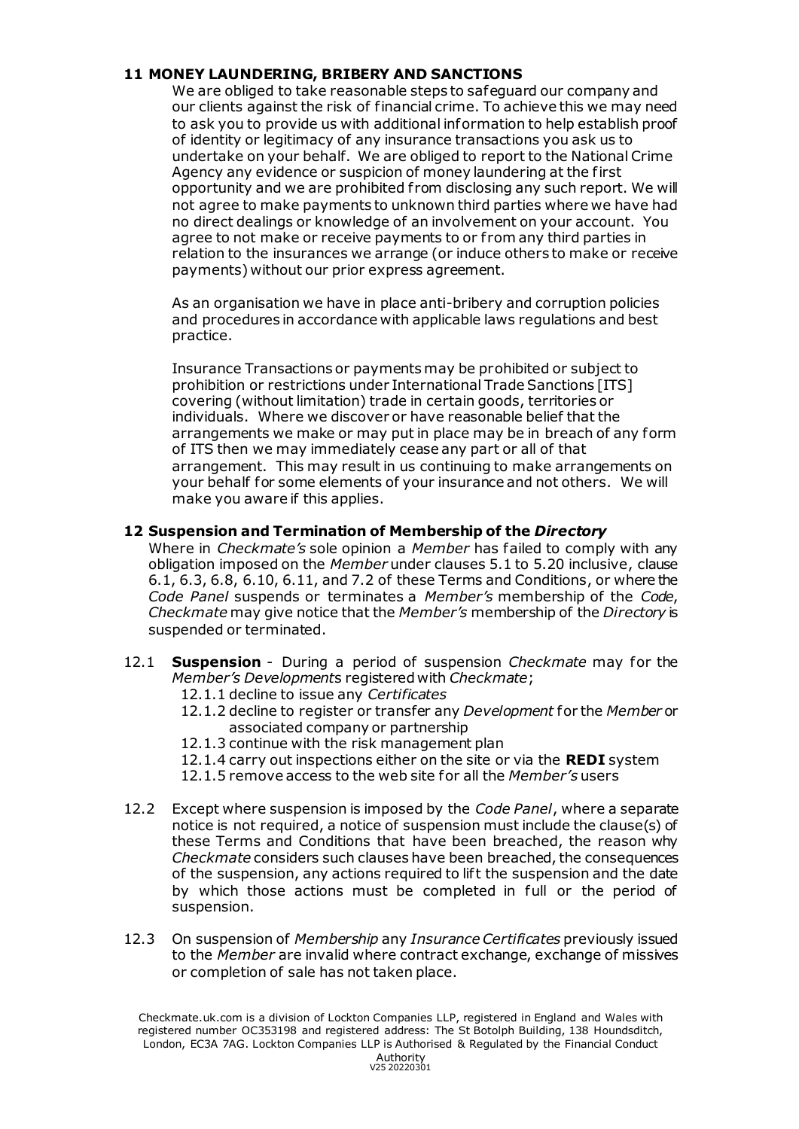## **11 MONEY LAUNDERING, BRIBERY AND SANCTIONS**

We are obliged to take reasonable steps to safeguard our company and our clients against the risk of financial crime. To achieve this we may need to ask you to provide us with additional information to help establish proof of identity or legitimacy of any insurance transactions you ask us to undertake on your behalf. We are obliged to report to the National Crime Agency any evidence or suspicion of money laundering at the first opportunity and we are prohibited from disclosing any such report. We will not agree to make payments to unknown third parties where we have had no direct dealings or knowledge of an involvement on your account. You agree to not make or receive payments to or f rom any third parties in relation to the insurances we arrange (or induce others to make or receive payments) without our prior express agreement.

As an organisation we have in place anti-bribery and corruption policies and procedures in accordance with applicable laws regulations and best practice.

Insurance Transactions or payments may be prohibited or subject to prohibition or restrictions under International Trade Sanctions [ITS] covering (without limitation) trade in certain goods, territories or individuals. Where we discover or have reasonable belief that the arrangements we make or may put in place may be in breach of any form of ITS then we may immediately cease any part or all of that arrangement. This may result in us continuing to make arrangements on your behalf for some elements of your insurance and not others. We will make you aware if this applies.

#### **12 Suspension and Termination of Membership of the** *Directory*

Where in *Checkmate's* sole opinion a *Member* has failed to comply with any obligation imposed on the *Member* under clauses 5.1 to 5.20 inclusive, clause 6.1, 6.3, 6.8, 6.10, 6.11, and 7.2 of these Terms and Conditions, or where the *Code Panel* suspends or terminates a *Member's* membership of the *Code*, *Checkmate* may give notice that the *Member's* membership of the *Directory* is suspended or terminated.

- 12.1 **Suspension** During a period of suspension *Checkmate* may for the *Member's Development*s registered with *Checkmate*;
	- 12.1.1 decline to issue any *Certificates*
	- 12.1.2 decline to register or transfer any *Development* for the *Member* or associated company or partnership
	- 12.1.3 continue with the risk management plan
	- 12.1.4 carry out inspections either on the site or via the **REDI** system
	- 12.1.5 remove access to the web site for all the *Member's* users
- 12.2 Except where suspension is imposed by the *Code Panel*, where a separate notice is not required, a notice of suspension must include the clause(s) of these Terms and Conditions that have been breached, the reason why *Checkmate* considers such clauses have been breached, the consequences of the suspension, any actions required to lift the suspension and the date by which those actions must be completed in full or the period of suspension.
- 12.3 On suspension of *Membership* any *Insurance Certificates* previously issued to the *Member* are invalid where contract exchange, exchange of missives or completion of sale has not taken place.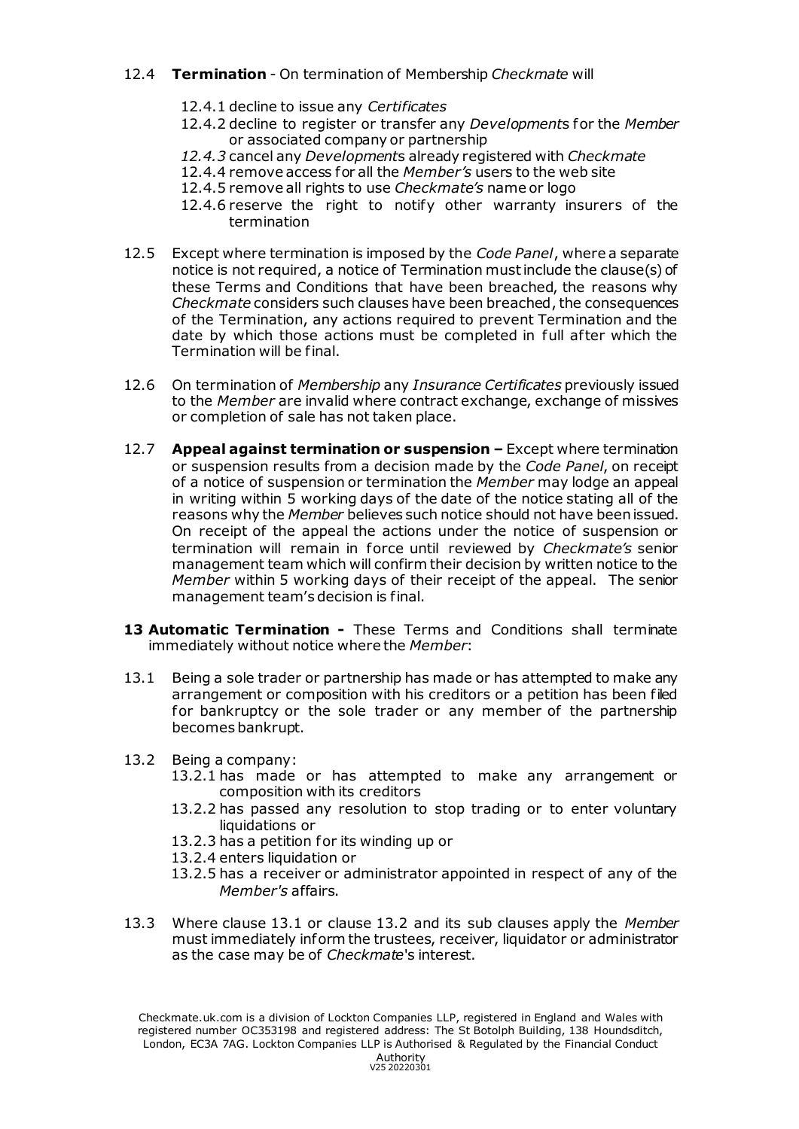## 12.4 **Termination** - On termination of Membership *Checkmate* will

- 12.4.1 decline to issue any *Certificates*
- 12.4.2 decline to register or transfer any *Development*s for the *Member* or associated company or partnership
- *12.4.3* cancel any *Development*s already registered with *Checkmate*
- 12.4.4 remove access for all the *Member's* users to the web site
- 12.4.5 remove all rights to use *Checkmate's* name or logo
- 12.4.6 reserve the right to notify other warranty insurers of the termination
- 12.5 Except where termination is imposed by the *Code Panel*, where a separate notice is not required, a notice of Termination must include the clause(s) of these Terms and Conditions that have been breached, the reasons why *Checkmate* considers such clauses have been breached, the consequences of the Termination, any actions required to prevent Termination and the date by which those actions must be completed in full after which the Termination will be final.
- 12.6 On termination of *Membership* any *Insurance Certificates* previously issued to the *Member* are invalid where contract exchange, exchange of missives or completion of sale has not taken place.
- 12.7 **Appeal against termination or suspension –** Except where termination or suspension results from a decision made by the *Code Panel*, on receipt of a notice of suspension or termination the *Member* may lodge an appeal in writing within 5 working days of the date of the notice stating all of the reasons why the *Member* believes such notice should not have been issued. On receipt of the appeal the actions under the notice of suspension or termination will remain in force until reviewed by *Checkmate's* senior management team which will confirm their decision by written notice to the *Member* within 5 working days of their receipt of the appeal. The senior management team's decision is final.
- **13 Automatic Termination -** These Terms and Conditions shall terminate immediately without notice where the *Member*:
- 13.1 Being a sole trader or partnership has made or has attempted to make any arrangement or composition with his creditors or a petition has been filed for bankruptcy or the sole trader or any member of the partnership becomes bankrupt.
- 13.2 Being a company:
	- 13.2.1 has made or has attempted to make any arrangement or composition with its creditors
	- 13.2.2 has passed any resolution to stop trading or to enter voluntary liquidations or
	- 13.2.3 has a petition for its winding up or
	- 13.2.4 enters liquidation or
	- 13.2.5 has a receiver or administrator appointed in respect of any of the *Member's* affairs.
- 13.3 Where clause 13.1 or clause 13.2 and its sub clauses apply the *Member*  must immediately inform the trustees, receiver, liquidator or administrator as the case may be of *Checkmate*'s interest.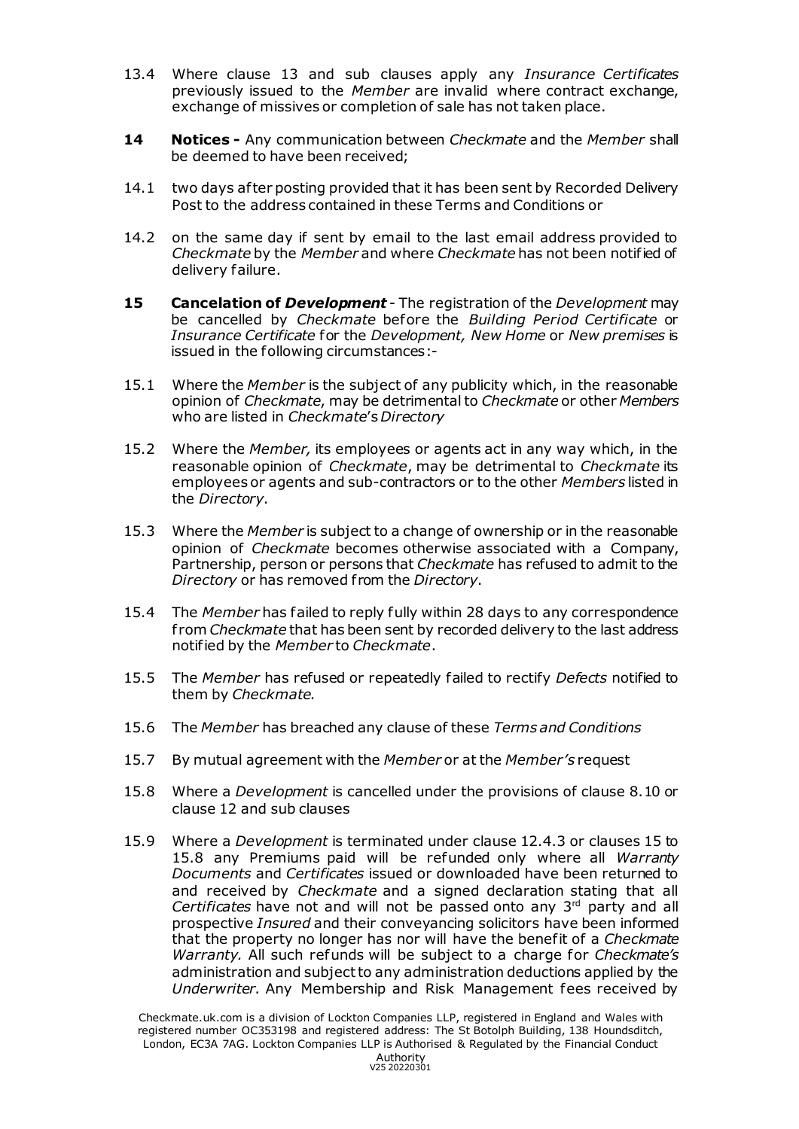- 13.4 Where clause 13 and sub clauses apply any *Insurance Certificates* previously issued to the *Member* are invalid where contract exchange, exchange of missives or completion of sale has not taken place.
- **14 Notices -** Any communication between *Checkmate* and the *Member* shall be deemed to have been received;
- 14.1 two days after posting provided that it has been sent by Recorded Delivery Post to the address contained in these Terms and Conditions or
- 14.2 on the same day if sent by email to the last email address provided to *Checkmate* by the *Member* and where *Checkmate* has not been notified of delivery failure.
- **15 Cancelation of** *Development* The registration of the *Development* may be cancelled by *Checkmate* before the *Building Period Certificate* or *Insurance Certificate* for the *Development, New Home* or *New premises* is issued in the following circumstances:-
- 15.1 Where the *Member* is the subject of any publicity which, in the reasonable opinion of *Checkmate*, may be detrimental to *Checkmate* or other *Members* who are listed in *Checkmate*'s *Directory*
- 15.2 Where the *Member,* its employees or agents act in any way which, in the reasonable opinion of *Checkmate*, may be detrimental to *Checkmate* its employees or agents and sub-contractors or to the other *Members* listed in the *Directory*.
- 15.3 Where the *Member* is subject to a change of ownership or in the reasonable opinion of *Checkmate* becomes otherwise associated with a Company, Partnership, person or persons that *Checkmate* has refused to admit to the *Directory* or has removed f rom the *Directory*.
- 15.4 The *Member* has failed to reply fully within 28 days to any correspondence f rom *Checkmate* that has been sent by recorded delivery to the last address notified by the *Member* to *Checkmate*.
- 15.5 The *Member* has refused or repeatedly failed to rectify *Defects* notified to them by *Checkmate.*
- 15.6 The *Member* has breached any clause of these *Terms and Conditions*
- 15.7 By mutual agreement with the *Member* or at the *Member's* request
- 15.8 Where a *Development* is cancelled under the provisions of clause 8.10 or clause 12 and sub clauses
- 15.9 Where a *Development* is terminated under clause 12.4.3 or clauses 15 to 15.8 any Premiums paid will be refunded only where all *Warranty Documents* and *Certificates* issued or downloaded have been returned to and received by *Checkmate* and a signed declaration stating that all *Certificates* have not and will not be passed onto any 3rd party and all prospective *Insured* and their conveyancing solicitors have been informed that the property no longer has nor will have the benefit of a *Checkmate Warranty.* All such refunds will be subject to a charge for *Checkmate's* administration and subject to any administration deductions applied by the *Underwriter*. Any Membership and Risk Management fees received by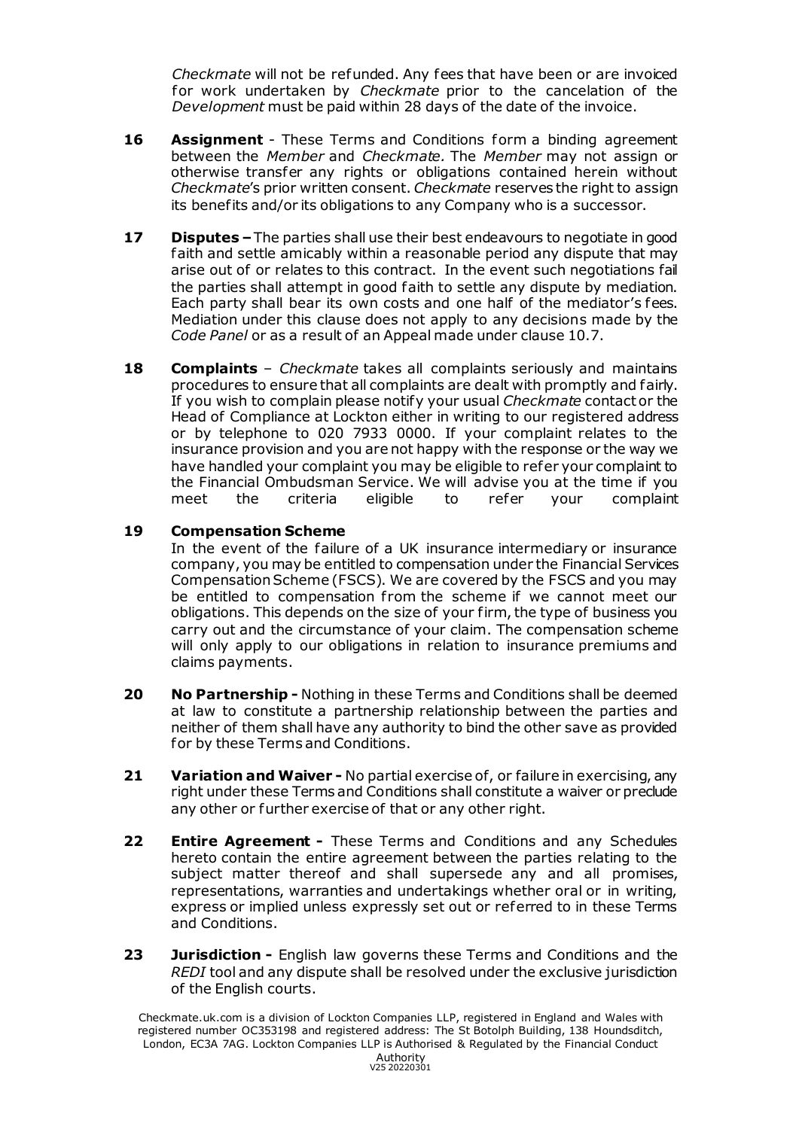*Checkmate* will not be refunded. Any fees that have been or are invoiced for work undertaken by *Checkmate* prior to the cancelation of the *Development* must be paid within 28 days of the date of the invoice.

- **16 Assignment** These Terms and Conditions form a binding agreement between the *Member* and *Checkmate.* The *Member* may not assign or otherwise transfer any rights or obligations contained herein without *Checkmate*'s prior written consent. *Checkmate* reserves the right to assign its benefits and/or its obligations to any Company who is a successor.
- **17 Disputes –**The parties shall use their best endeavours to negotiate in good faith and settle amicably within a reasonable period any dispute that may arise out of or relates to this contract. In the event such negotiations fail the parties shall attempt in good faith to settle any dispute by mediation. Each party shall bear its own costs and one half of the mediator's fees. Mediation under this clause does not apply to any decisions made by the *Code Panel* or as a result of an Appeal made under clause 10.7.
- **18 Complaints** *Checkmate* takes all complaints seriously and maintains procedures to ensure that all complaints are dealt with promptly and fairly. If you wish to complain please notify your usual *Checkmate* contact or the Head of Compliance at Lockton either in writing to our registered address or by telephone to 020 7933 0000. If your complaint relates to the insurance provision and you are not happy with the response or the way we have handled your complaint you may be eligible to refer your complaint to the Financial Ombudsman Service. We will advise you at the time if you meet the criteria eligible to refer your complaint

## **19 Compensation Scheme**

In the event of the failure of a UK insurance intermediary or insurance company, you may be entitled to compensation under the Financial Services Compensation Scheme (FSCS). We are covered by the FSCS and you may be entitled to compensation from the scheme if we cannot meet our obligations. This depends on the size of your firm, the type of business you carry out and the circumstance of your claim. The compensation scheme will only apply to our obligations in relation to insurance premiums and claims payments.

- **20 No Partnership -** Nothing in these Terms and Conditions shall be deemed at law to constitute a partnership relationship between the parties and neither of them shall have any authority to bind the other save as provided for by these Terms and Conditions.
- **21 Variation and Waiver -** No partial exercise of, or failure in exercising, any right under these Terms and Conditions shall constitute a waiver or preclude any other or further exercise of that or any other right.
- **22 Entire Agreement -** These Terms and Conditions and any Schedules hereto contain the entire agreement between the parties relating to the subject matter thereof and shall supersede any and all promises, representations, warranties and undertakings whether oral or in writing, express or implied unless expressly set out or referred to in these Terms and Conditions.
- **23 Jurisdiction -** English law governs these Terms and Conditions and the *REDI* tool and any dispute shall be resolved under the exclusive jurisdiction of the English courts.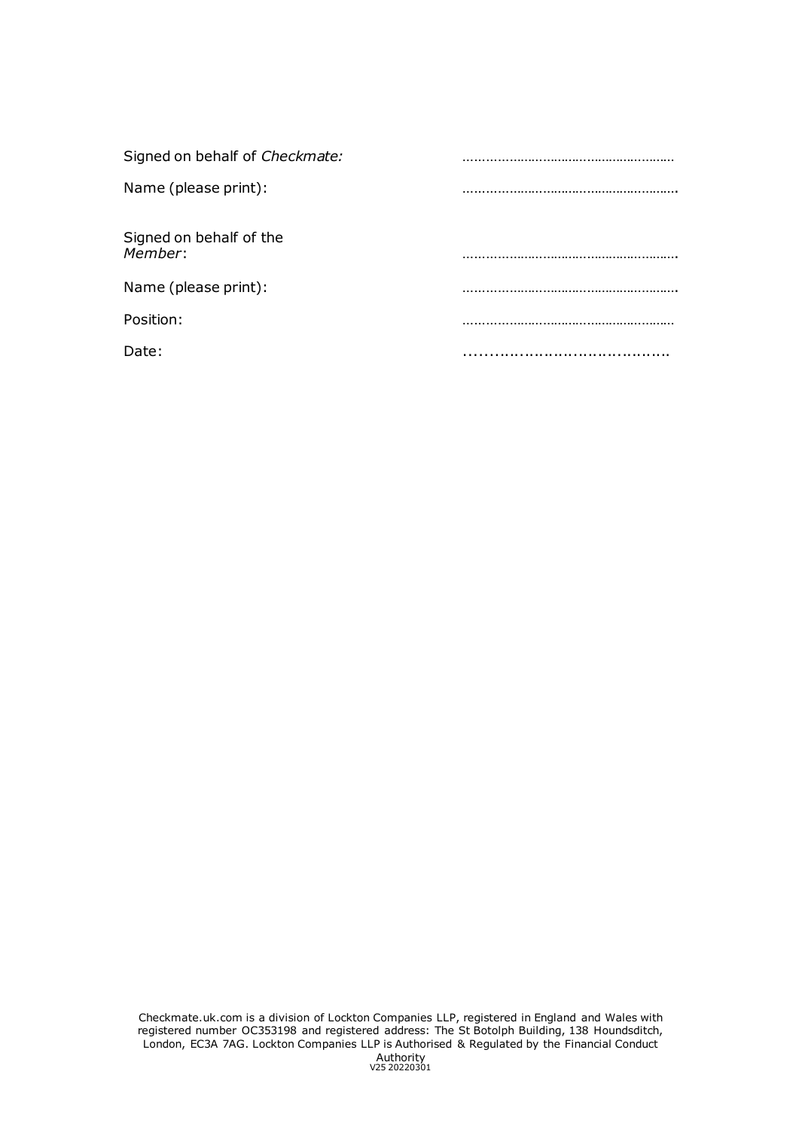| Signed on behalf of Checkmate:     |  |
|------------------------------------|--|
| Name (please print):               |  |
| Signed on behalf of the<br>Member: |  |
| Name (please print):               |  |
| Position:                          |  |
| Date:                              |  |